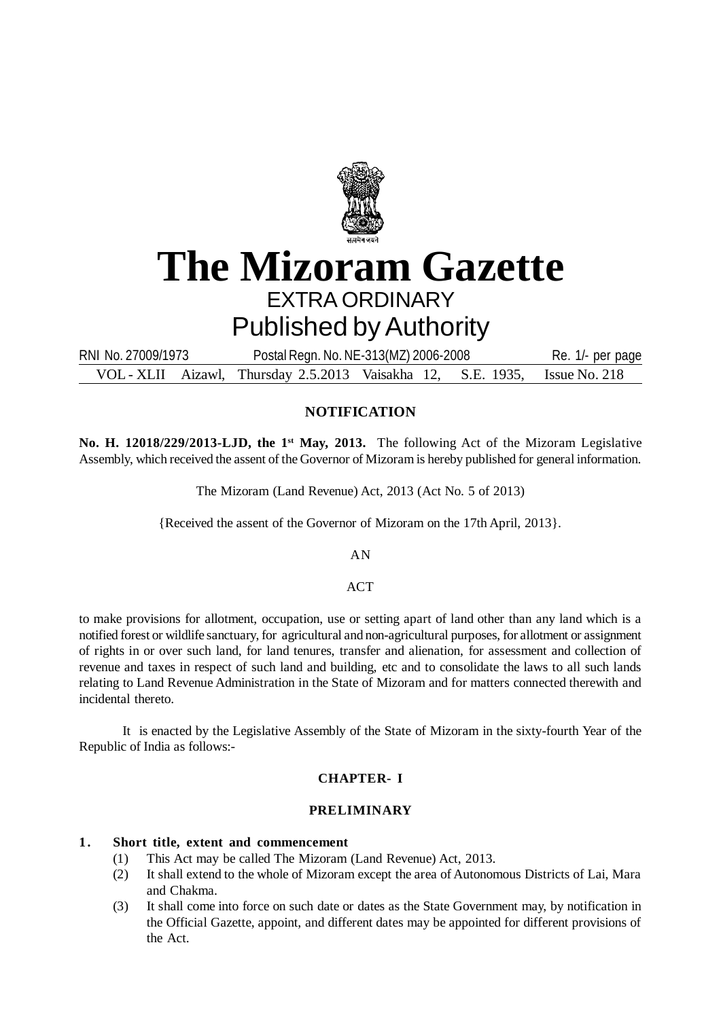

# **The Mizoram Gazette** EXTRA ORDINARY Published by Authority

VOL - XLII Aizawl, Thursday 2.5.2013 Vaisakha 12, S.E. 1935, Issue No. 218 RNI No. 27009/1973 Postal Regn. No. NE-313(MZ) 2006-2008 Re. 1/- per page

# **NOTIFICATION**

**No. H. 12018/229/2013-LJD, the 1st May, 2013.** The following Act of the Mizoram Legislative Assembly, which received the assent of the Governor of Mizoram is hereby published for general information.

The Mizoram (Land Revenue) Act, 2013 (Act No. 5 of 2013)

{Received the assent of the Governor of Mizoram on the 17th April, 2013}.

AN

## ACT

to make provisions for allotment, occupation, use or setting apart of land other than any land which is a notified forest or wildlife sanctuary, for agricultural and non-agricultural purposes, for allotment or assignment of rights in or over such land, for land tenures, transfer and alienation, for assessment and collection of revenue and taxes in respect of such land and building, etc and to consolidate the laws to all such lands relating to Land Revenue Administration in the State of Mizoram and for matters connected therewith and incidental thereto.

It is enacted by the Legislative Assembly of the State of Mizoram in the sixty-fourth Year of the Republic of India as follows:-

## **CHAPTER- I**

#### **PRELIMINARY**

## **1 . Short title, extent and commencement**

- (1) This Act may be called The Mizoram (Land Revenue) Act, 2013.
- (2) It shall extend to the whole of Mizoram except the area of Autonomous Districts of Lai, Mara and Chakma.
- (3) It shall come into force on such date or dates as the State Government may, by notification in the Official Gazette, appoint, and different dates may be appointed for different provisions of the Act.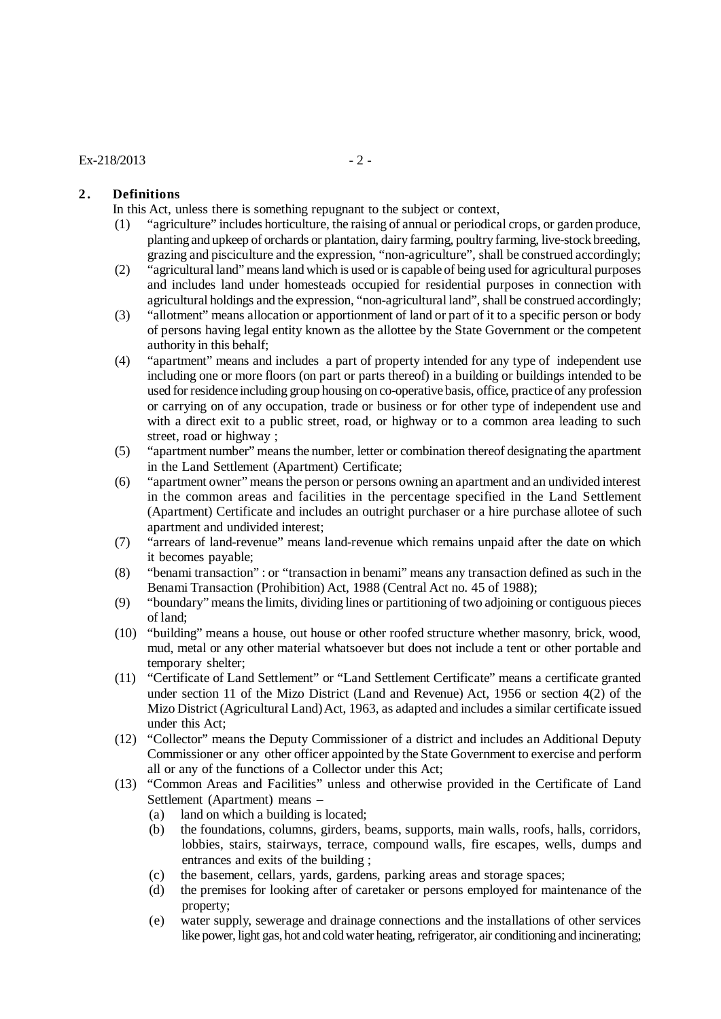## $Ex-218/2013$  - 2 -

## **2. Definitions**

In this Act, unless there is something repugnant to the subject or context,

- (1) "agriculture" includes horticulture, the raising of annual or periodical crops, or garden produce, planting and upkeep of orchards or plantation, dairy farming, poultry farming, live-stock breeding, grazing and pisciculture and the expression, "non-agriculture", shall be construed accordingly;
- (2) "agricultural land" means land which is used or is capable of being used for agricultural purposes and includes land under homesteads occupied for residential purposes in connection with agricultural holdings and the expression, "non-agricultural land", shall be construed accordingly;
- (3) "allotment" means allocation or apportionment of land or part of it to a specific person or body of persons having legal entity known as the allottee by the State Government or the competent authority in this behalf;
- (4) "apartment" means and includes a part of property intended for any type of independent use including one or more floors (on part or parts thereof) in a building or buildings intended to be used for residence including group housing on co-operative basis, office, practice of any profession or carrying on of any occupation, trade or business or for other type of independent use and with a direct exit to a public street, road, or highway or to a common area leading to such street, road or highway ;
- (5) "apartment number" means the number, letter or combination thereof designating the apartment in the Land Settlement (Apartment) Certificate;
- (6) "apartment owner" means the person or persons owning an apartment and an undivided interest in the common areas and facilities in the percentage specified in the Land Settlement (Apartment) Certificate and includes an outright purchaser or a hire purchase allotee of such apartment and undivided interest;
- (7) "arrears of land-revenue" means land-revenue which remains unpaid after the date on which it becomes payable;
- (8) "benami transaction" : or "transaction in benami" means any transaction defined as such in the Benami Transaction (Prohibition) Act, 1988 (Central Act no. 45 of 1988);
- (9) "boundary" means the limits, dividing lines or partitioning of two adjoining or contiguous pieces of land;
- (10) "building" means a house, out house or other roofed structure whether masonry, brick, wood, mud, metal or any other material whatsoever but does not include a tent or other portable and temporary shelter;
- (11) "Certificate of Land Settlement" or "Land Settlement Certificate" means a certificate granted under section 11 of the Mizo District (Land and Revenue) Act, 1956 or section 4(2) of the Mizo District (Agricultural Land) Act, 1963, as adapted and includes a similar certificate issued under this Act;
- (12) "Collector" means the Deputy Commissioner of a district and includes an Additional Deputy Commissioner or any other officer appointed by the State Government to exercise and perform all or any of the functions of a Collector under this Act;
- (13) "Common Areas and Facilities" unless and otherwise provided in the Certificate of Land Settlement (Apartment) means –
	- (a) land on which a building is located;
	- (b) the foundations, columns, girders, beams, supports, main walls, roofs, halls, corridors, lobbies, stairs, stairways, terrace, compound walls, fire escapes, wells, dumps and entrances and exits of the building ;
	- (c) the basement, cellars, yards, gardens, parking areas and storage spaces;
	- (d) the premises for looking after of caretaker or persons employed for maintenance of the property;
	- (e) water supply, sewerage and drainage connections and the installations of other services like power, light gas, hot and cold water heating, refrigerator, air conditioning and incinerating;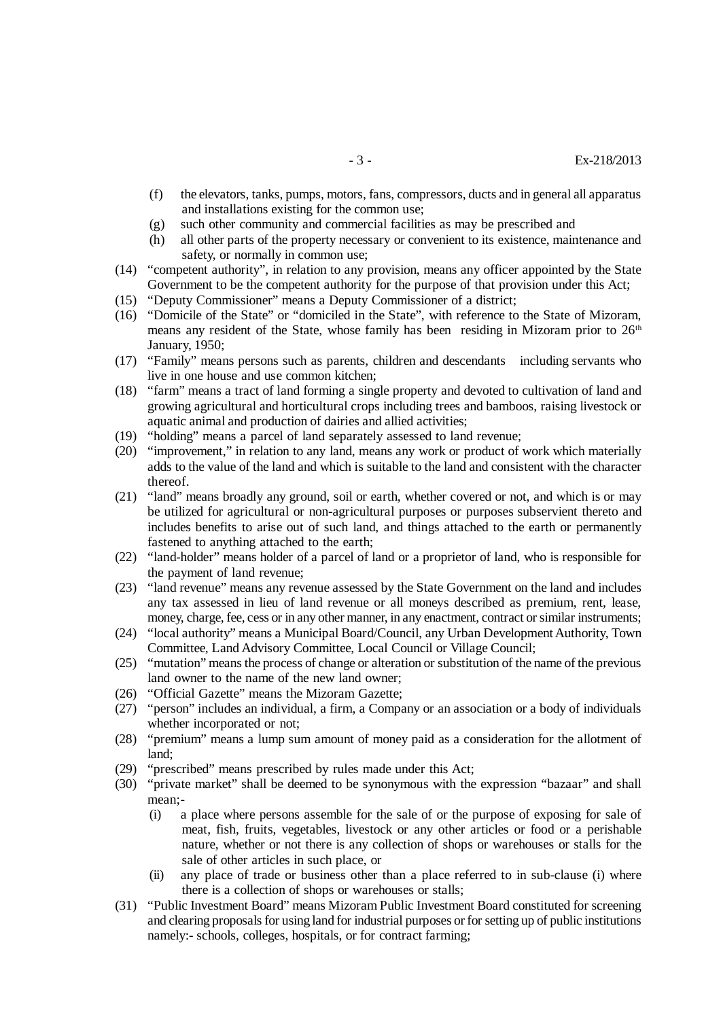- (f) the elevators, tanks, pumps, motors, fans, compressors, ducts and in general all apparatus and installations existing for the common use;
- (g) such other community and commercial facilities as may be prescribed and
- (h) all other parts of the property necessary or convenient to its existence, maintenance and safety, or normally in common use;
- (14) "competent authority", in relation to any provision, means any officer appointed by the State Government to be the competent authority for the purpose of that provision under this Act;
- (15) "Deputy Commissioner" means a Deputy Commissioner of a district;
- (16) "Domicile of the State" or "domiciled in the State", with reference to the State of Mizoram, means any resident of the State, whose family has been residing in Mizoram prior to  $26<sup>th</sup>$ January, 1950;
- (17) "Family" means persons such as parents, children and descendants including servants who live in one house and use common kitchen;
- (18) "farm" means a tract of land forming a single property and devoted to cultivation of land and growing agricultural and horticultural crops including trees and bamboos, raising livestock or aquatic animal and production of dairies and allied activities;
- (19) "holding" means a parcel of land separately assessed to land revenue;
- (20) "improvement," in relation to any land, means any work or product of work which materially adds to the value of the land and which is suitable to the land and consistent with the character thereof.
- (21) "land" means broadly any ground, soil or earth, whether covered or not, and which is or may be utilized for agricultural or non-agricultural purposes or purposes subservient thereto and includes benefits to arise out of such land, and things attached to the earth or permanently fastened to anything attached to the earth;
- (22) "land-holder" means holder of a parcel of land or a proprietor of land, who is responsible for the payment of land revenue;
- (23) "land revenue" means any revenue assessed by the State Government on the land and includes any tax assessed in lieu of land revenue or all moneys described as premium, rent, lease, money, charge, fee, cess or in any other manner, in any enactment, contract or similar instruments;
- (24) "local authority" means a Municipal Board/Council, any Urban Development Authority, Town Committee, Land Advisory Committee, Local Council or Village Council;
- (25) "mutation" means the process of change or alteration or substitution of the name of the previous land owner to the name of the new land owner;
- (26) "Official Gazette" means the Mizoram Gazette;
- (27) "person" includes an individual, a firm, a Company or an association or a body of individuals whether incorporated or not;
- (28) "premium" means a lump sum amount of money paid as a consideration for the allotment of land;
- (29) "prescribed" means prescribed by rules made under this Act;
- (30) "private market" shall be deemed to be synonymous with the expression "bazaar" and shall mean;-
	- (i) a place where persons assemble for the sale of or the purpose of exposing for sale of meat, fish, fruits, vegetables, livestock or any other articles or food or a perishable nature, whether or not there is any collection of shops or warehouses or stalls for the sale of other articles in such place, or
	- (ii) any place of trade or business other than a place referred to in sub-clause (i) where there is a collection of shops or warehouses or stalls;
- (31) "Public Investment Board" means Mizoram Public Investment Board constituted for screening and clearing proposals for using land for industrial purposes or for setting up of public institutions namely:- schools, colleges, hospitals, or for contract farming;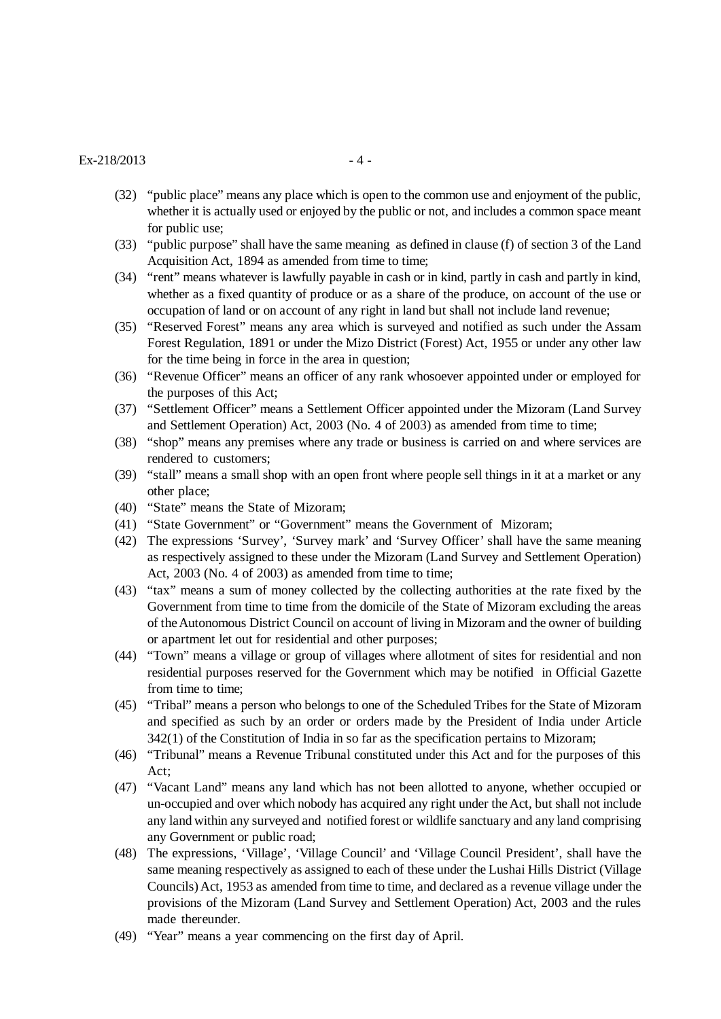#### $Ex - 218/2013$  - 4 -

- (32) "public place" means any place which is open to the common use and enjoyment of the public, whether it is actually used or enjoyed by the public or not, and includes a common space meant for public use;
- (33) "public purpose" shall have the same meaning as defined in clause (f) of section 3 of the Land Acquisition Act, 1894 as amended from time to time;
- (34) "rent" means whatever is lawfully payable in cash or in kind, partly in cash and partly in kind, whether as a fixed quantity of produce or as a share of the produce, on account of the use or occupation of land or on account of any right in land but shall not include land revenue;
- (35) "Reserved Forest" means any area which is surveyed and notified as such under the Assam Forest Regulation, 1891 or under the Mizo District (Forest) Act, 1955 or under any other law for the time being in force in the area in question;
- (36) "Revenue Officer" means an officer of any rank whosoever appointed under or employed for the purposes of this Act;
- (37) "Settlement Officer" means a Settlement Officer appointed under the Mizoram (Land Survey and Settlement Operation) Act, 2003 (No. 4 of 2003) as amended from time to time;
- (38) "shop" means any premises where any trade or business is carried on and where services are rendered to customers;
- (39) "stall" means a small shop with an open front where people sell things in it at a market or any other place;
- (40) "State" means the State of Mizoram;
- (41) "State Government" or "Government" means the Government of Mizoram;
- (42) The expressions 'Survey', 'Survey mark' and 'Survey Officer' shall have the same meaning as respectively assigned to these under the Mizoram (Land Survey and Settlement Operation) Act, 2003 (No. 4 of 2003) as amended from time to time;
- (43) "tax" means a sum of money collected by the collecting authorities at the rate fixed by the Government from time to time from the domicile of the State of Mizoram excluding the areas of the Autonomous District Council on account of living in Mizoram and the owner of building or apartment let out for residential and other purposes;
- (44) "Town" means a village or group of villages where allotment of sites for residential and non residential purposes reserved for the Government which may be notified in Official Gazette from time to time;
- (45) "Tribal" means a person who belongs to one of the Scheduled Tribes for the State of Mizoram and specified as such by an order or orders made by the President of India under Article 342(1) of the Constitution of India in so far as the specification pertains to Mizoram;
- (46) "Tribunal" means a Revenue Tribunal constituted under this Act and for the purposes of this Act;
- (47) "Vacant Land" means any land which has not been allotted to anyone, whether occupied or un-occupied and over which nobody has acquired any right under the Act, but shall not include any land within any surveyed and notified forest or wildlife sanctuary and any land comprising any Government or public road;
- (48) The expressions, 'Village', 'Village Council' and 'Village Council President', shall have the same meaning respectively as assigned to each of these under the Lushai Hills District (Village Councils) Act, 1953 as amended from time to time, and declared as a revenue village under the provisions of the Mizoram (Land Survey and Settlement Operation) Act, 2003 and the rules made thereunder.
- (49) "Year" means a year commencing on the first day of April.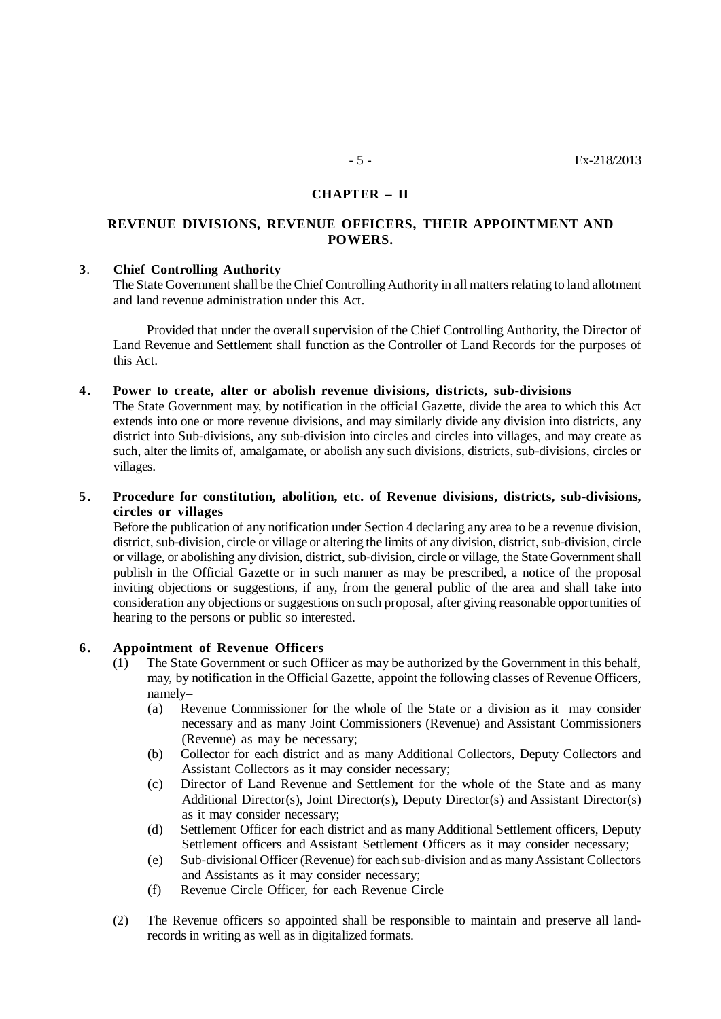## **CHAPTER – II**

# **REVENUE DIVISIONS, REVENUE OFFICERS, THEIR APPOINTMENT AND POWERS.**

#### **3**. **Chief Controlling Authority**

The State Government shall be the Chief Controlling Authority in all matters relating to land allotment and land revenue administration under this Act.

Provided that under the overall supervision of the Chief Controlling Authority, the Director of Land Revenue and Settlement shall function as the Controller of Land Records for the purposes of this Act.

#### **4 . Power to create, alter or abolish revenue divisions, districts, sub-divisions**

The State Government may, by notification in the official Gazette, divide the area to which this Act extends into one or more revenue divisions, and may similarly divide any division into districts, any district into Sub-divisions, any sub-division into circles and circles into villages, and may create as such, alter the limits of, amalgamate, or abolish any such divisions, districts, sub-divisions, circles or villages.

## **5 . Procedure for constitution, abolition, etc. of Revenue divisions, districts, sub-divisions, circles or villages**

Before the publication of any notification under Section 4 declaring any area to be a revenue division, district, sub-division, circle or village or altering the limits of any division, district, sub-division, circle or village, or abolishing any division, district, sub-division, circle or village, the State Government shall publish in the Official Gazette or in such manner as may be prescribed, a notice of the proposal inviting objections or suggestions, if any, from the general public of the area and shall take into consideration any objections or suggestions on such proposal, after giving reasonable opportunities of hearing to the persons or public so interested.

#### **6 . Appointment of Revenue Officers**

- (1) The State Government or such Officer as may be authorized by the Government in this behalf, may, by notification in the Official Gazette, appoint the following classes of Revenue Officers, namely–
	- (a) Revenue Commissioner for the whole of the State or a division as it may consider necessary and as many Joint Commissioners (Revenue) and Assistant Commissioners (Revenue) as may be necessary;
	- (b) Collector for each district and as many Additional Collectors, Deputy Collectors and Assistant Collectors as it may consider necessary;
	- (c) Director of Land Revenue and Settlement for the whole of the State and as many Additional Director(s), Joint Director(s), Deputy Director(s) and Assistant Director(s) as it may consider necessary;
	- (d) Settlement Officer for each district and as many Additional Settlement officers, Deputy Settlement officers and Assistant Settlement Officers as it may consider necessary;
	- (e) Sub-divisional Officer (Revenue) for each sub-division and as many Assistant Collectors and Assistants as it may consider necessary;
	- (f) Revenue Circle Officer, for each Revenue Circle
- (2) The Revenue officers so appointed shall be responsible to maintain and preserve all landrecords in writing as well as in digitalized formats.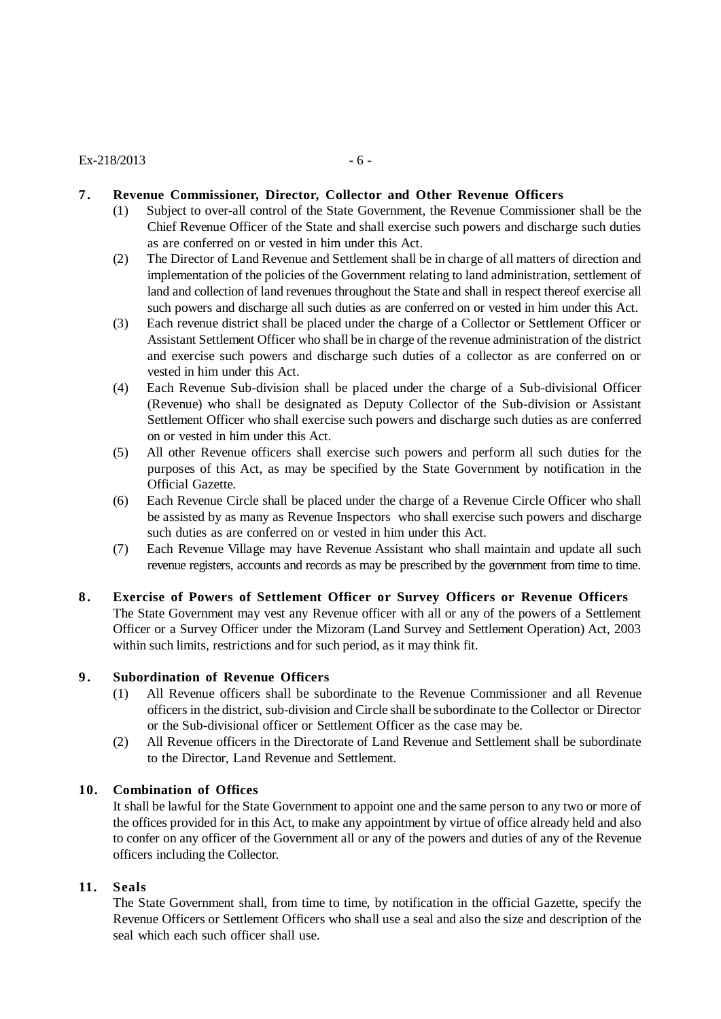## $Ex - 218/2013$  - 6 -

## **7 . Revenue Commissioner, Director, Collector and Other Revenue Officers**

- (1) Subject to over-all control of the State Government, the Revenue Commissioner shall be the Chief Revenue Officer of the State and shall exercise such powers and discharge such duties as are conferred on or vested in him under this Act.
- (2) The Director of Land Revenue and Settlement shall be in charge of all matters of direction and implementation of the policies of the Government relating to land administration, settlement of land and collection of land revenues throughout the State and shall in respect thereof exercise all such powers and discharge all such duties as are conferred on or vested in him under this Act.
- (3) Each revenue district shall be placed under the charge of a Collector or Settlement Officer or Assistant Settlement Officer who shall be in charge of the revenue administration of the district and exercise such powers and discharge such duties of a collector as are conferred on or vested in him under this Act.
- (4) Each Revenue Sub-division shall be placed under the charge of a Sub-divisional Officer (Revenue) who shall be designated as Deputy Collector of the Sub-division or Assistant Settlement Officer who shall exercise such powers and discharge such duties as are conferred on or vested in him under this Act.
- (5) All other Revenue officers shall exercise such powers and perform all such duties for the purposes of this Act, as may be specified by the State Government by notification in the Official Gazette.
- (6) Each Revenue Circle shall be placed under the charge of a Revenue Circle Officer who shall be assisted by as many as Revenue Inspectors who shall exercise such powers and discharge such duties as are conferred on or vested in him under this Act.
- (7) Each Revenue Village may have Revenue Assistant who shall maintain and update all such revenue registers, accounts and records as may be prescribed by the government from time to time.
- **8 . Exercise of Powers of Settlement Officer or Survey Officers or Revenue Officers** The State Government may vest any Revenue officer with all or any of the powers of a Settlement Officer or a Survey Officer under the Mizoram (Land Survey and Settlement Operation) Act, 2003 within such limits, restrictions and for such period, as it may think fit.

## **9 . Subordination of Revenue Officers**

- (1) All Revenue officers shall be subordinate to the Revenue Commissioner and all Revenue officers in the district, sub-division and Circle shall be subordinate to the Collector or Director or the Sub-divisional officer or Settlement Officer as the case may be.
- (2) All Revenue officers in the Directorate of Land Revenue and Settlement shall be subordinate to the Director, Land Revenue and Settlement.

#### **10. Combination of Offices**

It shall be lawful for the State Government to appoint one and the same person to any two or more of the offices provided for in this Act, to make any appointment by virtue of office already held and also to confer on any officer of the Government all or any of the powers and duties of any of the Revenue officers including the Collector.

#### **11. Seals**

The State Government shall, from time to time, by notification in the official Gazette, specify the Revenue Officers or Settlement Officers who shall use a seal and also the size and description of the seal which each such officer shall use.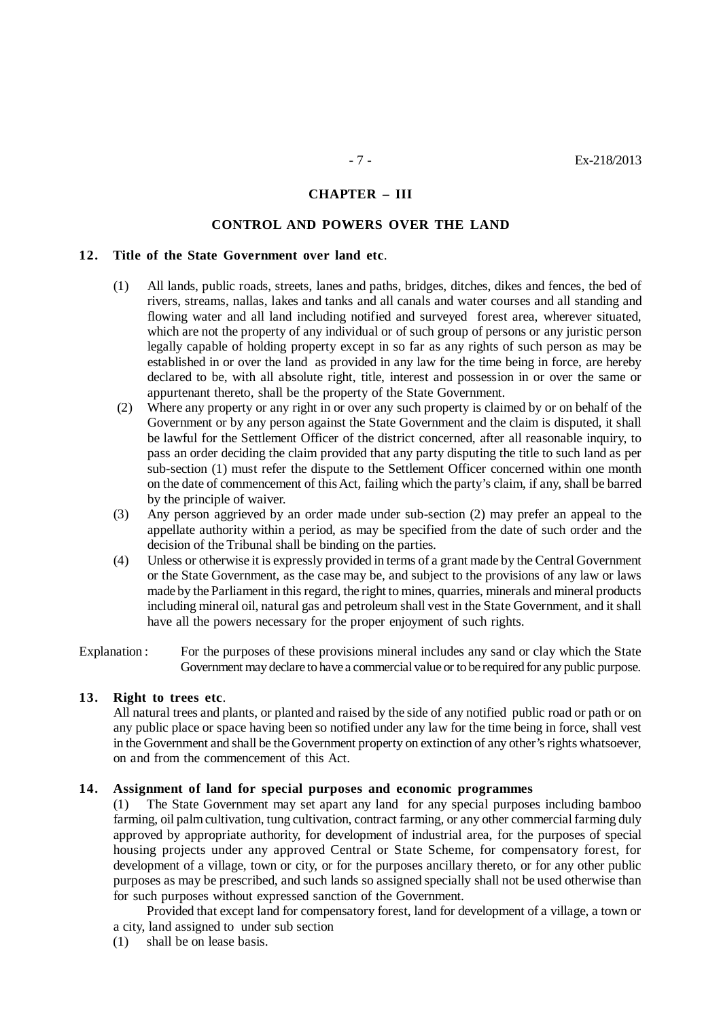#### **CHAPTER – III**

## **CONTROL AND POWERS OVER THE LAND**

#### **12. Title of the State Government over land etc**.

- (1) All lands, public roads, streets, lanes and paths, bridges, ditches, dikes and fences, the bed of rivers, streams, nallas, lakes and tanks and all canals and water courses and all standing and flowing water and all land including notified and surveyed forest area, wherever situated, which are not the property of any individual or of such group of persons or any juristic person legally capable of holding property except in so far as any rights of such person as may be established in or over the land as provided in any law for the time being in force, are hereby declared to be, with all absolute right, title, interest and possession in or over the same or appurtenant thereto, shall be the property of the State Government.
- (2) Where any property or any right in or over any such property is claimed by or on behalf of the Government or by any person against the State Government and the claim is disputed, it shall be lawful for the Settlement Officer of the district concerned, after all reasonable inquiry, to pass an order deciding the claim provided that any party disputing the title to such land as per sub-section (1) must refer the dispute to the Settlement Officer concerned within one month on the date of commencement of this Act, failing which the party's claim, if any, shall be barred by the principle of waiver.
- (3) Any person aggrieved by an order made under sub-section (2) may prefer an appeal to the appellate authority within a period, as may be specified from the date of such order and the decision of the Tribunal shall be binding on the parties.
- (4) Unless or otherwise it is expressly provided in terms of a grant made by the Central Government or the State Government, as the case may be, and subject to the provisions of any law or laws made by the Parliament in this regard, the right to mines, quarries, minerals and mineral products including mineral oil, natural gas and petroleum shall vest in the State Government, and it shall have all the powers necessary for the proper enjoyment of such rights.

Explanation : For the purposes of these provisions mineral includes any sand or clay which the State Government may declare to have a commercial value or to be required for any public purpose.

# **13. Right to trees etc**.

All natural trees and plants, or planted and raised by the side of any notified public road or path or on any public place or space having been so notified under any law for the time being in force, shall vest in the Government and shall be the Government property on extinction of any other's rights whatsoever, on and from the commencement of this Act.

## **14. Assignment of land for special purposes and economic programmes**

(1) The State Government may set apart any land for any special purposes including bamboo farming, oil palm cultivation, tung cultivation, contract farming, or any other commercial farming duly approved by appropriate authority, for development of industrial area, for the purposes of special housing projects under any approved Central or State Scheme, for compensatory forest, for development of a village, town or city, or for the purposes ancillary thereto, or for any other public purposes as may be prescribed, and such lands so assigned specially shall not be used otherwise than for such purposes without expressed sanction of the Government.

Provided that except land for compensatory forest, land for development of a village, a town or a city, land assigned to under sub section

(1) shall be on lease basis.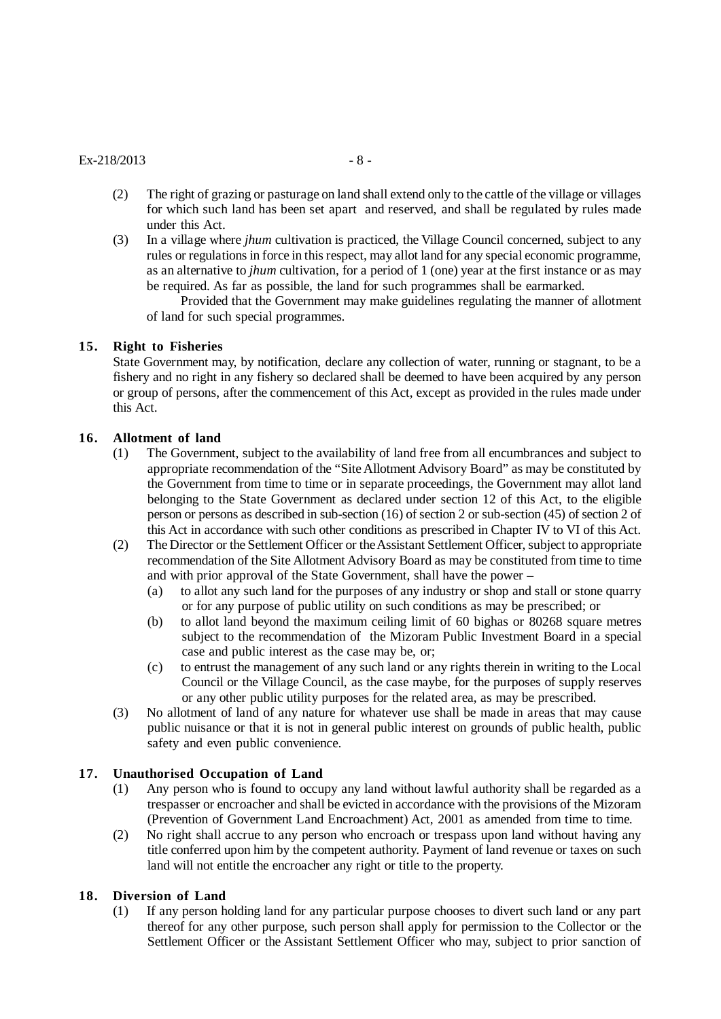## $Ex-218/2013$  - 8 -

- (2) The right of grazing or pasturage on land shall extend only to the cattle of the village or villages for which such land has been set apart and reserved, and shall be regulated by rules made under this Act.
- (3) In a village where *jhum* cultivation is practiced, the Village Council concerned, subject to any rules or regulations in force in this respect, may allot land for any special economic programme, as an alternative to *jhum* cultivation, for a period of 1 (one) year at the first instance or as may be required. As far as possible, the land for such programmes shall be earmarked.

Provided that the Government may make guidelines regulating the manner of allotment of land for such special programmes.

#### **15. Right to Fisheries**

State Government may, by notification, declare any collection of water, running or stagnant, to be a fishery and no right in any fishery so declared shall be deemed to have been acquired by any person or group of persons, after the commencement of this Act, except as provided in the rules made under this Act.

#### **16. Allotment of land**

- (1) The Government, subject to the availability of land free from all encumbrances and subject to appropriate recommendation of the "Site Allotment Advisory Board" as may be constituted by the Government from time to time or in separate proceedings, the Government may allot land belonging to the State Government as declared under section 12 of this Act, to the eligible person or persons as described in sub-section (16) of section 2 or sub-section (45) of section 2 of this Act in accordance with such other conditions as prescribed in Chapter IV to VI of this Act.
- (2) The Director or the Settlement Officer or the Assistant Settlement Officer, subject to appropriate recommendation of the Site Allotment Advisory Board as may be constituted from time to time and with prior approval of the State Government, shall have the power –
	- (a) to allot any such land for the purposes of any industry or shop and stall or stone quarry or for any purpose of public utility on such conditions as may be prescribed; or
	- (b) to allot land beyond the maximum ceiling limit of 60 bighas or 80268 square metres subject to the recommendation of the Mizoram Public Investment Board in a special case and public interest as the case may be, or;
	- (c) to entrust the management of any such land or any rights therein in writing to the Local Council or the Village Council, as the case maybe, for the purposes of supply reserves or any other public utility purposes for the related area, as may be prescribed.
- (3) No allotment of land of any nature for whatever use shall be made in areas that may cause public nuisance or that it is not in general public interest on grounds of public health, public safety and even public convenience.

## **17. Unauthorised Occupation of Land**

- (1) Any person who is found to occupy any land without lawful authority shall be regarded as a trespasser or encroacher and shall be evicted in accordance with the provisions of the Mizoram (Prevention of Government Land Encroachment) Act, 2001 as amended from time to time.
- (2) No right shall accrue to any person who encroach or trespass upon land without having any title conferred upon him by the competent authority. Payment of land revenue or taxes on such land will not entitle the encroacher any right or title to the property.

## **18. Diversion of Land**

(1) If any person holding land for any particular purpose chooses to divert such land or any part thereof for any other purpose, such person shall apply for permission to the Collector or the Settlement Officer or the Assistant Settlement Officer who may, subject to prior sanction of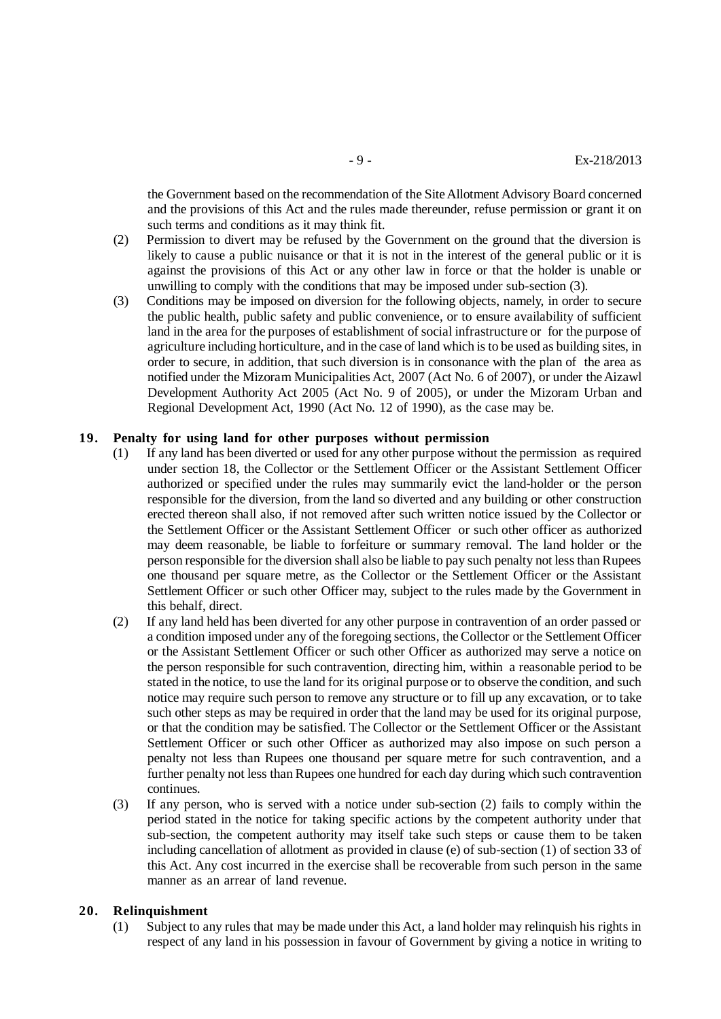the Government based on the recommendation of the Site Allotment Advisory Board concerned and the provisions of this Act and the rules made thereunder, refuse permission or grant it on such terms and conditions as it may think fit.

- (2) Permission to divert may be refused by the Government on the ground that the diversion is likely to cause a public nuisance or that it is not in the interest of the general public or it is against the provisions of this Act or any other law in force or that the holder is unable or unwilling to comply with the conditions that may be imposed under sub-section (3).
- (3) Conditions may be imposed on diversion for the following objects, namely, in order to secure the public health, public safety and public convenience, or to ensure availability of sufficient land in the area for the purposes of establishment of social infrastructure or for the purpose of agriculture including horticulture, and in the case of land which is to be used as building sites, in order to secure, in addition, that such diversion is in consonance with the plan of the area as notified under the Mizoram Municipalities Act, 2007 (Act No. 6 of 2007), or under the Aizawl Development Authority Act 2005 (Act No. 9 of 2005), or under the Mizoram Urban and Regional Development Act, 1990 (Act No. 12 of 1990), as the case may be.

#### **19. Penalty for using land for other purposes without permission**

- (1) If any land has been diverted or used for any other purpose without the permission as required under section 18, the Collector or the Settlement Officer or the Assistant Settlement Officer authorized or specified under the rules may summarily evict the land-holder or the person responsible for the diversion, from the land so diverted and any building or other construction erected thereon shall also, if not removed after such written notice issued by the Collector or the Settlement Officer or the Assistant Settlement Officer or such other officer as authorized may deem reasonable, be liable to forfeiture or summary removal. The land holder or the person responsible for the diversion shall also be liable to pay such penalty not less than Rupees one thousand per square metre, as the Collector or the Settlement Officer or the Assistant Settlement Officer or such other Officer may, subject to the rules made by the Government in this behalf, direct.
- (2) If any land held has been diverted for any other purpose in contravention of an order passed or a condition imposed under any of the foregoing sections, the Collector or the Settlement Officer or the Assistant Settlement Officer or such other Officer as authorized may serve a notice on the person responsible for such contravention, directing him, within a reasonable period to be stated in the notice, to use the land for its original purpose or to observe the condition, and such notice may require such person to remove any structure or to fill up any excavation, or to take such other steps as may be required in order that the land may be used for its original purpose, or that the condition may be satisfied. The Collector or the Settlement Officer or the Assistant Settlement Officer or such other Officer as authorized may also impose on such person a penalty not less than Rupees one thousand per square metre for such contravention, and a further penalty not less than Rupees one hundred for each day during which such contravention continues.
- (3) If any person, who is served with a notice under sub-section (2) fails to comply within the period stated in the notice for taking specific actions by the competent authority under that sub-section, the competent authority may itself take such steps or cause them to be taken including cancellation of allotment as provided in clause (e) of sub-section (1) of section 33 of this Act. Any cost incurred in the exercise shall be recoverable from such person in the same manner as an arrear of land revenue.

#### **20. Relinquishment**

(1) Subject to any rules that may be made under this Act, a land holder may relinquish his rights in respect of any land in his possession in favour of Government by giving a notice in writing to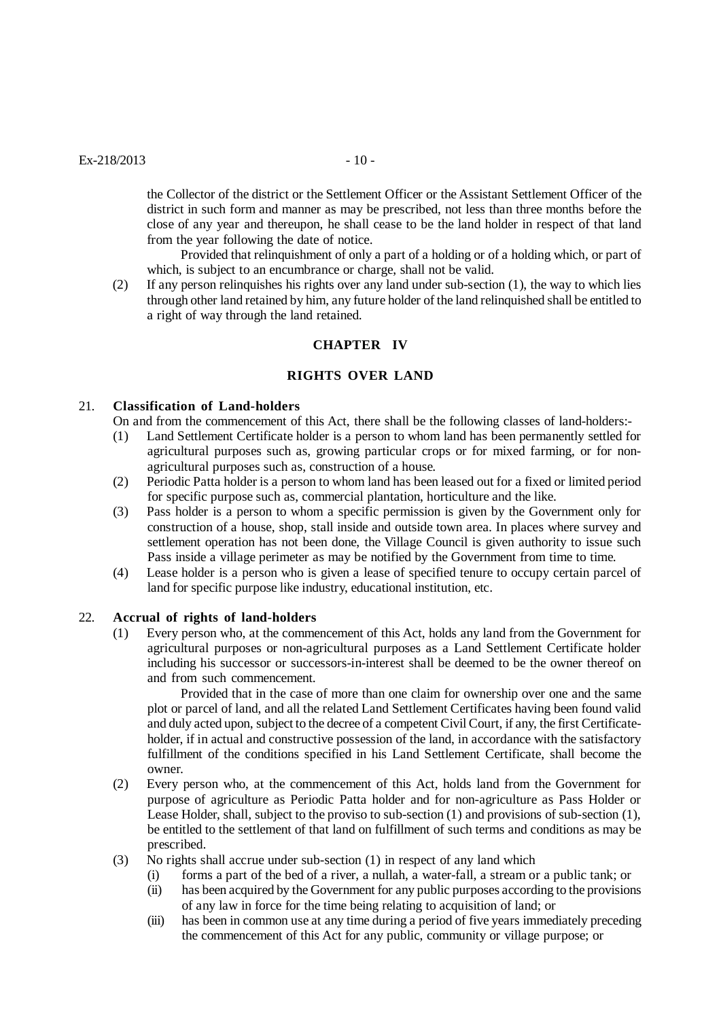the Collector of the district or the Settlement Officer or the Assistant Settlement Officer of the district in such form and manner as may be prescribed, not less than three months before the close of any year and thereupon, he shall cease to be the land holder in respect of that land from the year following the date of notice.

Provided that relinquishment of only a part of a holding or of a holding which, or part of which, is subject to an encumbrance or charge, shall not be valid.

(2) If any person relinquishes his rights over any land under sub-section (1), the way to which lies through other land retained by him, any future holder of the land relinquished shall be entitled to a right of way through the land retained.

## **CHAPTER IV**

#### **RIGHTS OVER LAND**

## 21. **Classification of Land-holders**

On and from the commencement of this Act, there shall be the following classes of land-holders:-

- (1) Land Settlement Certificate holder is a person to whom land has been permanently settled for agricultural purposes such as, growing particular crops or for mixed farming, or for nonagricultural purposes such as, construction of a house.
- (2) Periodic Patta holder is a person to whom land has been leased out for a fixed or limited period for specific purpose such as, commercial plantation, horticulture and the like.
- (3) Pass holder is a person to whom a specific permission is given by the Government only for construction of a house, shop, stall inside and outside town area. In places where survey and settlement operation has not been done, the Village Council is given authority to issue such Pass inside a village perimeter as may be notified by the Government from time to time.
- (4) Lease holder is a person who is given a lease of specified tenure to occupy certain parcel of land for specific purpose like industry, educational institution, etc.

#### 22. **Accrual of rights of land-holders**

(1) Every person who, at the commencement of this Act, holds any land from the Government for agricultural purposes or non-agricultural purposes as a Land Settlement Certificate holder including his successor or successors-in-interest shall be deemed to be the owner thereof on and from such commencement.

Provided that in the case of more than one claim for ownership over one and the same plot or parcel of land, and all the related Land Settlement Certificates having been found valid and duly acted upon, subject to the decree of a competent Civil Court, if any, the first Certificateholder, if in actual and constructive possession of the land, in accordance with the satisfactory fulfillment of the conditions specified in his Land Settlement Certificate, shall become the owner.

- (2) Every person who, at the commencement of this Act, holds land from the Government for purpose of agriculture as Periodic Patta holder and for non-agriculture as Pass Holder or Lease Holder, shall, subject to the proviso to sub-section (1) and provisions of sub-section (1), be entitled to the settlement of that land on fulfillment of such terms and conditions as may be prescribed.
- (3) No rights shall accrue under sub-section (1) in respect of any land which
	- (i) forms a part of the bed of a river, a nullah, a water-fall, a stream or a public tank; or
	- (ii) has been acquired by the Government for any public purposes according to the provisions of any law in force for the time being relating to acquisition of land; or
	- (iii) has been in common use at any time during a period of five years immediately preceding the commencement of this Act for any public, community or village purpose; or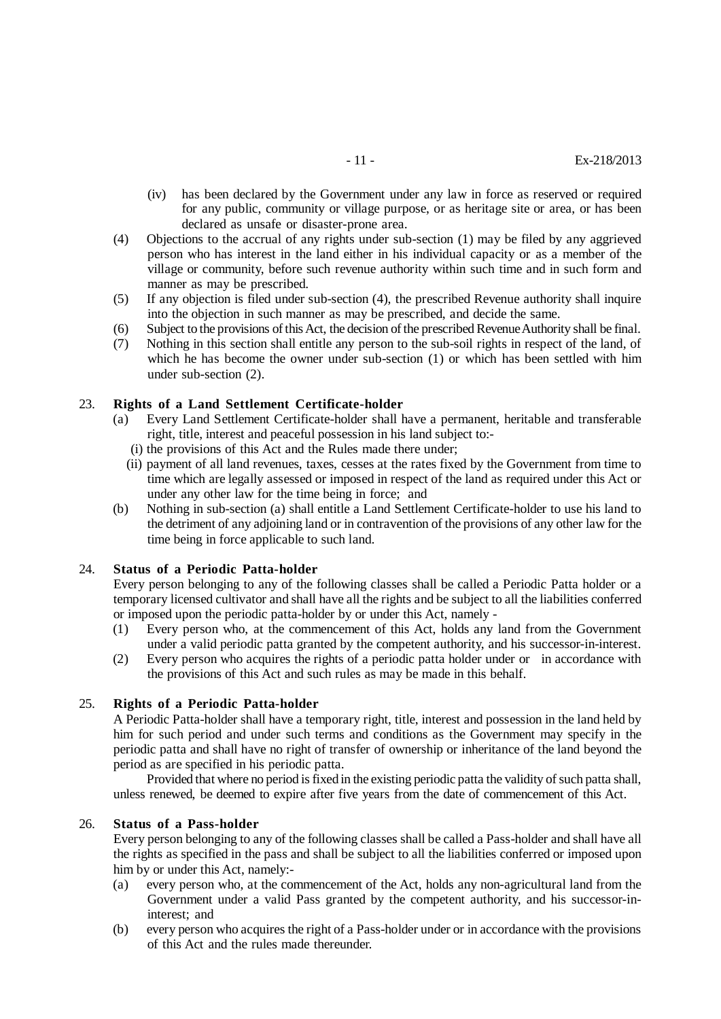- (iv) has been declared by the Government under any law in force as reserved or required for any public, community or village purpose, or as heritage site or area, or has been declared as unsafe or disaster-prone area.
- (4) Objections to the accrual of any rights under sub-section (1) may be filed by any aggrieved person who has interest in the land either in his individual capacity or as a member of the village or community, before such revenue authority within such time and in such form and manner as may be prescribed.
- (5) If any objection is filed under sub-section (4), the prescribed Revenue authority shall inquire into the objection in such manner as may be prescribed, and decide the same.
- (6) Subject to the provisions of this Act, the decision of the prescribed Revenue Authority shall be final.
- (7) Nothing in this section shall entitle any person to the sub-soil rights in respect of the land, of which he has become the owner under sub-section (1) or which has been settled with him under sub-section (2).

#### 23. **Rights of a Land Settlement Certificate-holder**

- (a) Every Land Settlement Certificate-holder shall have a permanent, heritable and transferable right, title, interest and peaceful possession in his land subject to:-
	- (i) the provisions of this Act and the Rules made there under;
	- (ii) payment of all land revenues, taxes, cesses at the rates fixed by the Government from time to time which are legally assessed or imposed in respect of the land as required under this Act or under any other law for the time being in force; and
- (b) Nothing in sub-section (a) shall entitle a Land Settlement Certificate-holder to use his land to the detriment of any adjoining land or in contravention of the provisions of any other law for the time being in force applicable to such land.

#### 24. **Status of a Periodic Patta-holder**

Every person belonging to any of the following classes shall be called a Periodic Patta holder or a temporary licensed cultivator and shall have all the rights and be subject to all the liabilities conferred or imposed upon the periodic patta-holder by or under this Act, namely -

- (1) Every person who, at the commencement of this Act, holds any land from the Government under a valid periodic patta granted by the competent authority, and his successor-in-interest.
- (2) Every person who acquires the rights of a periodic patta holder under or in accordance with the provisions of this Act and such rules as may be made in this behalf.

#### 25. **Rights of a Periodic Patta-holder**

A Periodic Patta-holder shall have a temporary right, title, interest and possession in the land held by him for such period and under such terms and conditions as the Government may specify in the periodic patta and shall have no right of transfer of ownership or inheritance of the land beyond the period as are specified in his periodic patta.

Provided that where no period is fixed in the existing periodic patta the validity of such patta shall, unless renewed, be deemed to expire after five years from the date of commencement of this Act.

#### 26. **Status of a Pass-holder**

Every person belonging to any of the following classes shall be called a Pass-holder and shall have all the rights as specified in the pass and shall be subject to all the liabilities conferred or imposed upon him by or under this Act, namely:-

- (a) every person who, at the commencement of the Act, holds any non-agricultural land from the Government under a valid Pass granted by the competent authority, and his successor-ininterest; and
- (b) every person who acquires the right of a Pass-holder under or in accordance with the provisions of this Act and the rules made thereunder.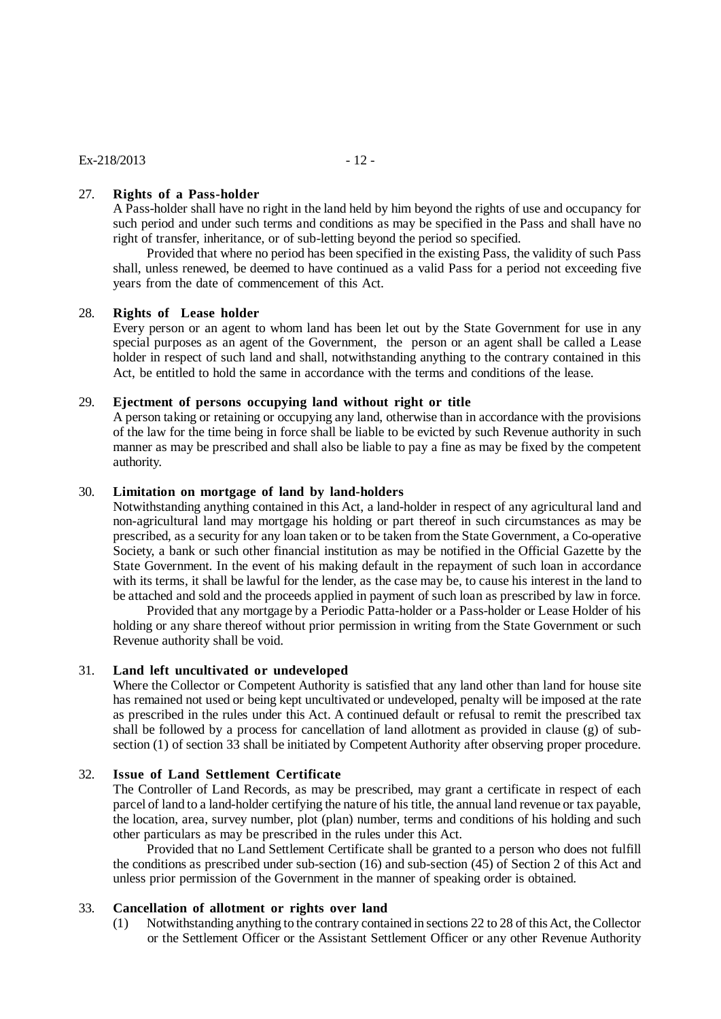## 27. **Rights of a Pass-holder**

A Pass-holder shall have no right in the land held by him beyond the rights of use and occupancy for such period and under such terms and conditions as may be specified in the Pass and shall have no right of transfer, inheritance, or of sub-letting beyond the period so specified.

Provided that where no period has been specified in the existing Pass, the validity of such Pass shall, unless renewed, be deemed to have continued as a valid Pass for a period not exceeding five years from the date of commencement of this Act.

#### 28. **Rights of Lease holder**

Every person or an agent to whom land has been let out by the State Government for use in any special purposes as an agent of the Government, the person or an agent shall be called a Lease holder in respect of such land and shall, notwithstanding anything to the contrary contained in this Act, be entitled to hold the same in accordance with the terms and conditions of the lease.

#### 29. **Ejectment of persons occupying land without right or title**

A person taking or retaining or occupying any land, otherwise than in accordance with the provisions of the law for the time being in force shall be liable to be evicted by such Revenue authority in such manner as may be prescribed and shall also be liable to pay a fine as may be fixed by the competent authority.

#### 30. **Limitation on mortgage of land by land-holders**

Notwithstanding anything contained in this Act, a land-holder in respect of any agricultural land and non-agricultural land may mortgage his holding or part thereof in such circumstances as may be prescribed, as a security for any loan taken or to be taken from the State Government, a Co-operative Society, a bank or such other financial institution as may be notified in the Official Gazette by the State Government. In the event of his making default in the repayment of such loan in accordance with its terms, it shall be lawful for the lender, as the case may be, to cause his interest in the land to be attached and sold and the proceeds applied in payment of such loan as prescribed by law in force.

Provided that any mortgage by a Periodic Patta-holder or a Pass-holder or Lease Holder of his holding or any share thereof without prior permission in writing from the State Government or such Revenue authority shall be void.

## 31. **Land left uncultivated or undeveloped**

Where the Collector or Competent Authority is satisfied that any land other than land for house site has remained not used or being kept uncultivated or undeveloped, penalty will be imposed at the rate as prescribed in the rules under this Act. A continued default or refusal to remit the prescribed tax shall be followed by a process for cancellation of land allotment as provided in clause (g) of subsection (1) of section 33 shall be initiated by Competent Authority after observing proper procedure.

#### 32. **Issue of Land Settlement Certificate**

The Controller of Land Records, as may be prescribed, may grant a certificate in respect of each parcel of land to a land-holder certifying the nature of his title, the annual land revenue or tax payable, the location, area, survey number, plot (plan) number, terms and conditions of his holding and such other particulars as may be prescribed in the rules under this Act.

Provided that no Land Settlement Certificate shall be granted to a person who does not fulfill the conditions as prescribed under sub-section (16) and sub-section (45) of Section 2 of this Act and unless prior permission of the Government in the manner of speaking order is obtained.

## 33. **Cancellation of allotment or rights over land**

(1) Notwithstanding anything to the contrary contained in sections 22 to 28 of this Act, the Collector or the Settlement Officer or the Assistant Settlement Officer or any other Revenue Authority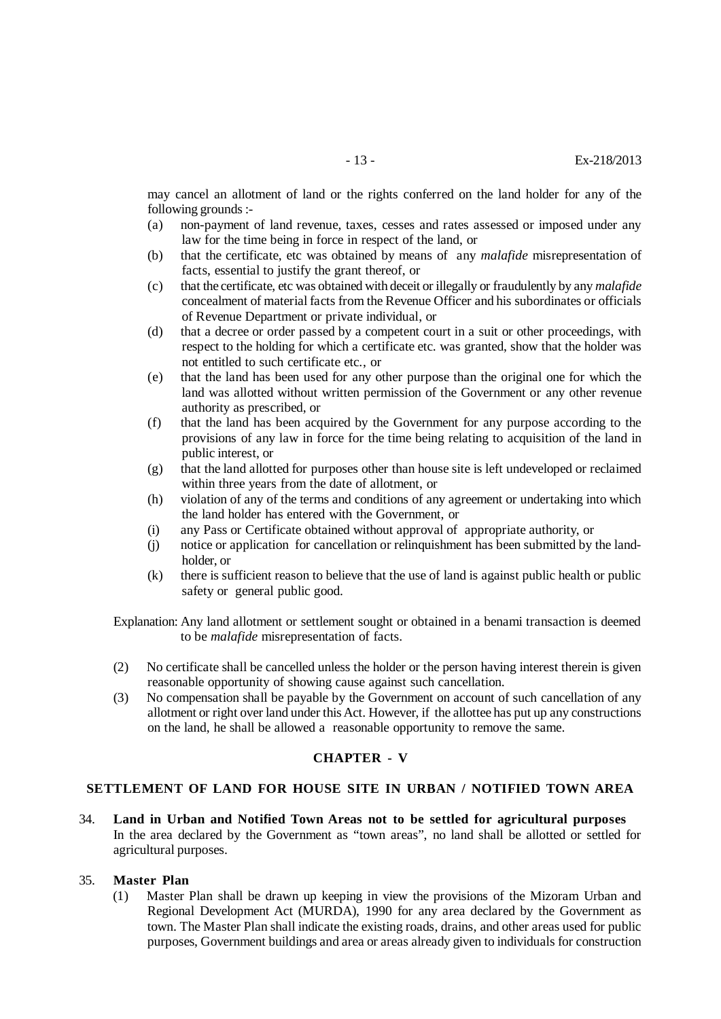may cancel an allotment of land or the rights conferred on the land holder for any of the following grounds :-

- (a) non-payment of land revenue, taxes, cesses and rates assessed or imposed under any law for the time being in force in respect of the land, or
- (b) that the certificate, etc was obtained by means of any *malafide* misrepresentation of facts, essential to justify the grant thereof, or
- (c) that the certificate, etc was obtained with deceit or illegally or fraudulently by any *malafide* concealment of material facts from the Revenue Officer and his subordinates or officials of Revenue Department or private individual, or
- (d) that a decree or order passed by a competent court in a suit or other proceedings, with respect to the holding for which a certificate etc. was granted, show that the holder was not entitled to such certificate etc., or
- (e) that the land has been used for any other purpose than the original one for which the land was allotted without written permission of the Government or any other revenue authority as prescribed, or
- (f) that the land has been acquired by the Government for any purpose according to the provisions of any law in force for the time being relating to acquisition of the land in public interest, or
- (g) that the land allotted for purposes other than house site is left undeveloped or reclaimed within three years from the date of allotment, or
- (h) violation of any of the terms and conditions of any agreement or undertaking into which the land holder has entered with the Government, or
- (i) any Pass or Certificate obtained without approval of appropriate authority, or
- (j) notice or application for cancellation or relinquishment has been submitted by the landholder, or
- (k) there is sufficient reason to believe that the use of land is against public health or public safety or general public good.

Explanation: Any land allotment or settlement sought or obtained in a benami transaction is deemed to be *malafide* misrepresentation of facts.

- (2) No certificate shall be cancelled unless the holder or the person having interest therein is given reasonable opportunity of showing cause against such cancellation.
- (3) No compensation shall be payable by the Government on account of such cancellation of any allotment or right over land under this Act. However, if the allottee has put up any constructions on the land, he shall be allowed a reasonable opportunity to remove the same.

## **CHAPTER - V**

#### **SETTLEMENT OF LAND FOR HOUSE SITE IN URBAN / NOTIFIED TOWN AREA**

34. **Land in Urban and Notified Town Areas not to be settled for agricultural purposes** In the area declared by the Government as "town areas", no land shall be allotted or settled for agricultural purposes.

## 35. **Master Plan**

(1) Master Plan shall be drawn up keeping in view the provisions of the Mizoram Urban and Regional Development Act (MURDA), 1990 for any area declared by the Government as town. The Master Plan shall indicate the existing roads, drains, and other areas used for public purposes, Government buildings and area or areas already given to individuals for construction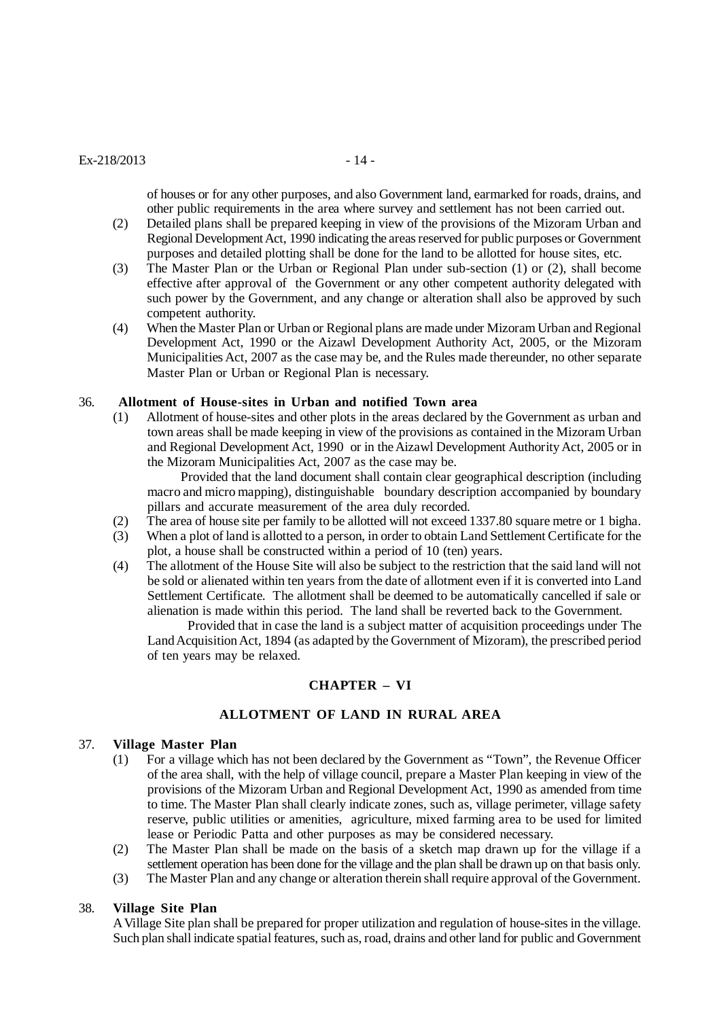#### $Ex-218/2013$  - 14 -

of houses or for any other purposes, and also Government land, earmarked for roads, drains, and other public requirements in the area where survey and settlement has not been carried out.

- (2) Detailed plans shall be prepared keeping in view of the provisions of the Mizoram Urban and Regional Development Act, 1990 indicating the areas reserved for public purposes or Government purposes and detailed plotting shall be done for the land to be allotted for house sites, etc.
- (3) The Master Plan or the Urban or Regional Plan under sub-section (1) or (2), shall become effective after approval of the Government or any other competent authority delegated with such power by the Government, and any change or alteration shall also be approved by such competent authority.
- (4) When the Master Plan or Urban or Regional plans are made under Mizoram Urban and Regional Development Act, 1990 or the Aizawl Development Authority Act, 2005, or the Mizoram Municipalities Act, 2007 as the case may be, and the Rules made thereunder, no other separate Master Plan or Urban or Regional Plan is necessary.

#### 36. **Allotment of House-sites in Urban and notified Town area**

(1) Allotment of house-sites and other plots in the areas declared by the Government as urban and town areas shall be made keeping in view of the provisions as contained in the Mizoram Urban and Regional Development Act, 1990 or in the Aizawl Development Authority Act, 2005 or in the Mizoram Municipalities Act, 2007 as the case may be.

Provided that the land document shall contain clear geographical description (including macro and micro mapping), distinguishable boundary description accompanied by boundary pillars and accurate measurement of the area duly recorded.

- (2) The area of house site per family to be allotted will not exceed 1337.80 square metre or 1 bigha.
- (3) When a plot of land is allotted to a person, in order to obtain Land Settlement Certificate for the plot, a house shall be constructed within a period of 10 (ten) years.
- (4) The allotment of the House Site will also be subject to the restriction that the said land will not be sold or alienated within ten years from the date of allotment even if it is converted into Land Settlement Certificate. The allotment shall be deemed to be automatically cancelled if sale or alienation is made within this period. The land shall be reverted back to the Government.

 Provided that in case the land is a subject matter of acquisition proceedings under The Land Acquisition Act, 1894 (as adapted by the Government of Mizoram), the prescribed period of ten years may be relaxed.

## **CHAPTER – VI**

## **ALLOTMENT OF LAND IN RURAL AREA**

#### 37. **Village Master Plan**

- (1) For a village which has not been declared by the Government as "Town", the Revenue Officer of the area shall, with the help of village council, prepare a Master Plan keeping in view of the provisions of the Mizoram Urban and Regional Development Act, 1990 as amended from time to time. The Master Plan shall clearly indicate zones, such as, village perimeter, village safety reserve, public utilities or amenities, agriculture, mixed farming area to be used for limited lease or Periodic Patta and other purposes as may be considered necessary.
- (2) The Master Plan shall be made on the basis of a sketch map drawn up for the village if a settlement operation has been done for the village and the plan shall be drawn up on that basis only.
- (3) The Master Plan and any change or alteration therein shall require approval of the Government.

#### 38. **Village Site Plan**

A Village Site plan shall be prepared for proper utilization and regulation of house-sites in the village. Such plan shall indicate spatial features, such as, road, drains and other land for public and Government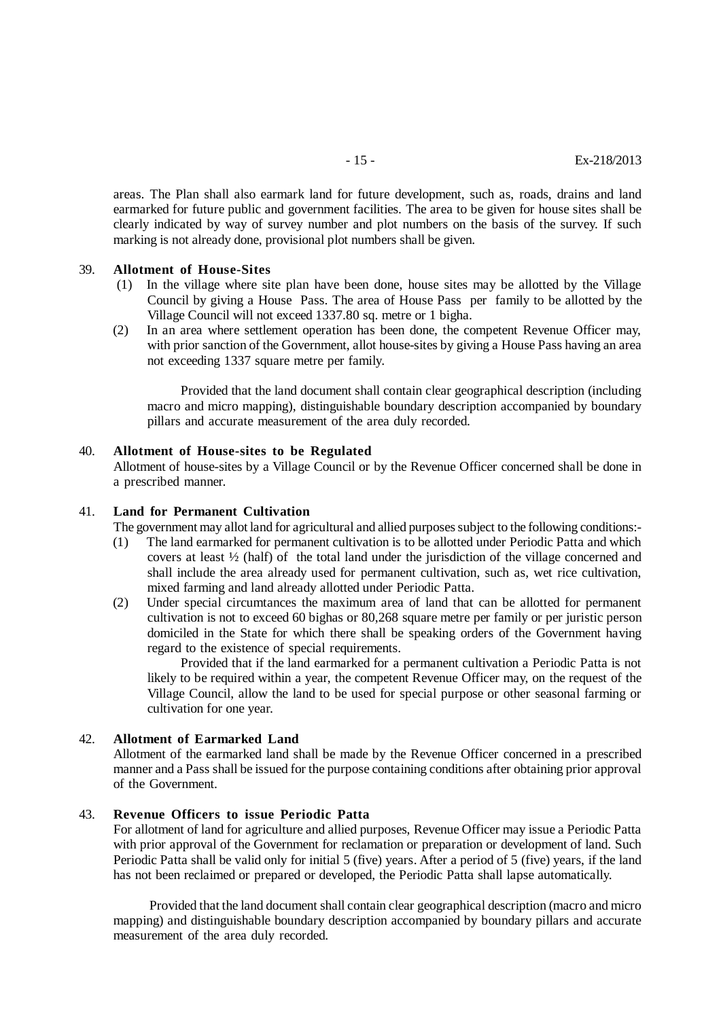areas. The Plan shall also earmark land for future development, such as, roads, drains and land earmarked for future public and government facilities. The area to be given for house sites shall be clearly indicated by way of survey number and plot numbers on the basis of the survey. If such marking is not already done, provisional plot numbers shall be given.

#### 39. **Allotment of House-Sites**

- (1) In the village where site plan have been done, house sites may be allotted by the Village Council by giving a House Pass. The area of House Pass per family to be allotted by the Village Council will not exceed 1337.80 sq. metre or 1 bigha.
- (2) In an area where settlement operation has been done, the competent Revenue Officer may, with prior sanction of the Government, allot house-sites by giving a House Pass having an area not exceeding 1337 square metre per family.

Provided that the land document shall contain clear geographical description (including macro and micro mapping), distinguishable boundary description accompanied by boundary pillars and accurate measurement of the area duly recorded.

#### 40. **Allotment of House-sites to be Regulated**

Allotment of house-sites by a Village Council or by the Revenue Officer concerned shall be done in a prescribed manner.

## 41. **Land for Permanent Cultivation**

The government may allot land for agricultural and allied purposes subject to the following conditions:-

- (1) The land earmarked for permanent cultivation is to be allotted under Periodic Patta and which covers at least ½ (half) of the total land under the jurisdiction of the village concerned and shall include the area already used for permanent cultivation, such as, wet rice cultivation, mixed farming and land already allotted under Periodic Patta.
- (2) Under special circumtances the maximum area of land that can be allotted for permanent cultivation is not to exceed 60 bighas or 80,268 square metre per family or per juristic person domiciled in the State for which there shall be speaking orders of the Government having regard to the existence of special requirements.

Provided that if the land earmarked for a permanent cultivation a Periodic Patta is not likely to be required within a year, the competent Revenue Officer may, on the request of the Village Council, allow the land to be used for special purpose or other seasonal farming or cultivation for one year.

#### 42. **Allotment of Earmarked Land**

Allotment of the earmarked land shall be made by the Revenue Officer concerned in a prescribed manner and a Pass shall be issued for the purpose containing conditions after obtaining prior approval of the Government.

## 43. **Revenue Officers to issue Periodic Patta**

For allotment of land for agriculture and allied purposes, Revenue Officer may issue a Periodic Patta with prior approval of the Government for reclamation or preparation or development of land. Such Periodic Patta shall be valid only for initial 5 (five) years. After a period of 5 (five) years, if the land has not been reclaimed or prepared or developed, the Periodic Patta shall lapse automatically.

 Provided that the land document shall contain clear geographical description (macro and micro mapping) and distinguishable boundary description accompanied by boundary pillars and accurate measurement of the area duly recorded.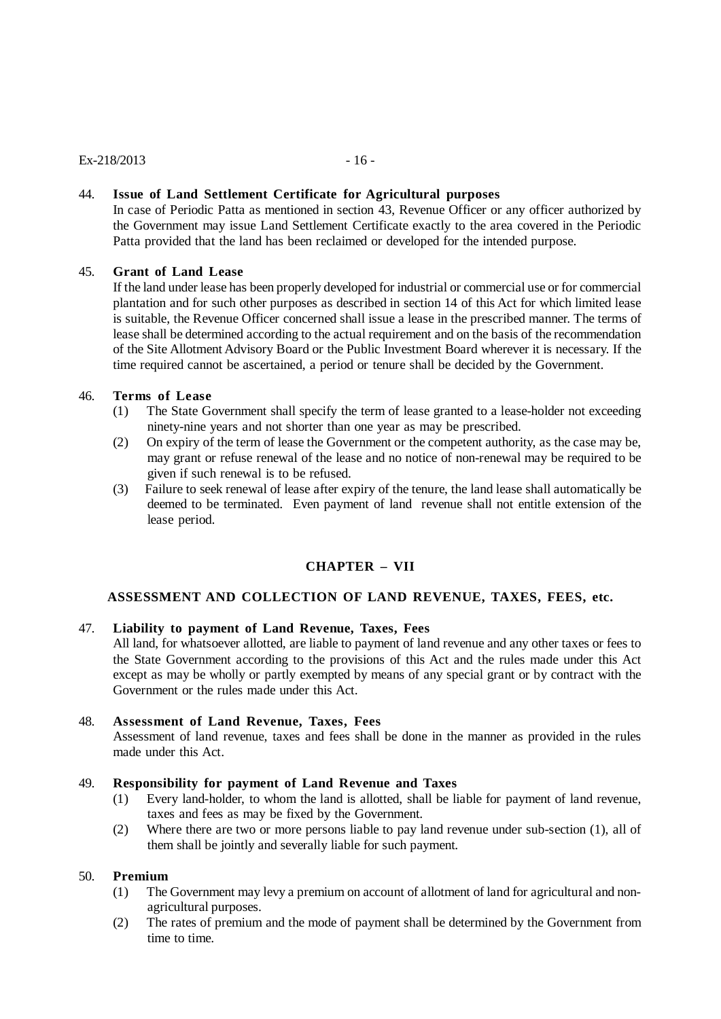## $Ex-218/2013$  - 16 -

## 44. **Issue of Land Settlement Certificate for Agricultural purposes**

In case of Periodic Patta as mentioned in section 43, Revenue Officer or any officer authorized by the Government may issue Land Settlement Certificate exactly to the area covered in the Periodic Patta provided that the land has been reclaimed or developed for the intended purpose.

## 45. **Grant of Land Lease**

If the land under lease has been properly developed for industrial or commercial use or for commercial plantation and for such other purposes as described in section 14 of this Act for which limited lease is suitable, the Revenue Officer concerned shall issue a lease in the prescribed manner. The terms of lease shall be determined according to the actual requirement and on the basis of the recommendation of the Site Allotment Advisory Board or the Public Investment Board wherever it is necessary. If the time required cannot be ascertained, a period or tenure shall be decided by the Government.

## 46. **Terms of Lease**

- (1) The State Government shall specify the term of lease granted to a lease-holder not exceeding ninety-nine years and not shorter than one year as may be prescribed.
- (2) On expiry of the term of lease the Government or the competent authority, as the case may be, may grant or refuse renewal of the lease and no notice of non-renewal may be required to be given if such renewal is to be refused.
- (3) Failure to seek renewal of lease after expiry of the tenure, the land lease shall automatically be deemed to be terminated. Even payment of land revenue shall not entitle extension of the lease period.

## **CHAPTER – VII**

## **ASSESSMENT AND COLLECTION OF LAND REVENUE, TAXES, FEES, etc.**

## 47. **Liability to payment of Land Revenue, Taxes, Fees**

All land, for whatsoever allotted, are liable to payment of land revenue and any other taxes or fees to the State Government according to the provisions of this Act and the rules made under this Act except as may be wholly or partly exempted by means of any special grant or by contract with the Government or the rules made under this Act.

#### 48. **Assessment of Land Revenue, Taxes, Fees**

Assessment of land revenue, taxes and fees shall be done in the manner as provided in the rules made under this Act.

#### 49. **Responsibility for payment of Land Revenue and Taxes**

- (1) Every land-holder, to whom the land is allotted, shall be liable for payment of land revenue, taxes and fees as may be fixed by the Government.
- (2) Where there are two or more persons liable to pay land revenue under sub-section (1), all of them shall be jointly and severally liable for such payment.

#### 50. **Premium**

- (1) The Government may levy a premium on account of allotment of land for agricultural and nonagricultural purposes.
- (2) The rates of premium and the mode of payment shall be determined by the Government from time to time.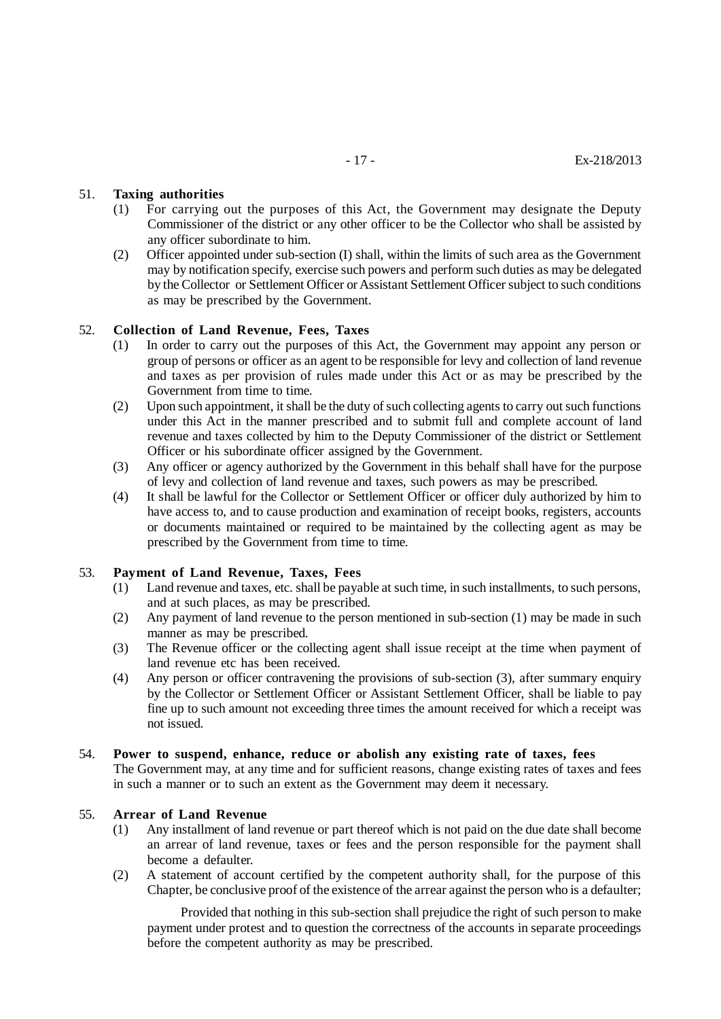## 51. **Taxing authorities**

- (1) For carrying out the purposes of this Act, the Government may designate the Deputy Commissioner of the district or any other officer to be the Collector who shall be assisted by any officer subordinate to him.
- (2) Officer appointed under sub-section (I) shall, within the limits of such area as the Government may by notification specify, exercise such powers and perform such duties as may be delegated by the Collector or Settlement Officer or Assistant Settlement Officer subject to such conditions as may be prescribed by the Government.

#### 52. **Collection of Land Revenue, Fees, Taxes**

- (1) In order to carry out the purposes of this Act, the Government may appoint any person or group of persons or officer as an agent to be responsible for levy and collection of land revenue and taxes as per provision of rules made under this Act or as may be prescribed by the Government from time to time.
- (2) Upon such appointment, it shall be the duty of such collecting agents to carry out such functions under this Act in the manner prescribed and to submit full and complete account of land revenue and taxes collected by him to the Deputy Commissioner of the district or Settlement Officer or his subordinate officer assigned by the Government.
- (3) Any officer or agency authorized by the Government in this behalf shall have for the purpose of levy and collection of land revenue and taxes, such powers as may be prescribed.
- (4) It shall be lawful for the Collector or Settlement Officer or officer duly authorized by him to have access to, and to cause production and examination of receipt books, registers, accounts or documents maintained or required to be maintained by the collecting agent as may be prescribed by the Government from time to time.

## 53. **Payment of Land Revenue, Taxes, Fees**

- (1) Land revenue and taxes, etc. shall be payable at such time, in such installments, to such persons, and at such places, as may be prescribed.
- (2) Any payment of land revenue to the person mentioned in sub-section (1) may be made in such manner as may be prescribed.
- (3) The Revenue officer or the collecting agent shall issue receipt at the time when payment of land revenue etc has been received.
- (4) Any person or officer contravening the provisions of sub-section (3), after summary enquiry by the Collector or Settlement Officer or Assistant Settlement Officer, shall be liable to pay fine up to such amount not exceeding three times the amount received for which a receipt was not issued.

## 54. **Power to suspend, enhance, reduce or abolish any existing rate of taxes, fees** The Government may, at any time and for sufficient reasons, change existing rates of taxes and fees in such a manner or to such an extent as the Government may deem it necessary.

## 55. **Arrear of Land Revenue**

- (1) Any installment of land revenue or part thereof which is not paid on the due date shall become an arrear of land revenue, taxes or fees and the person responsible for the payment shall become a defaulter.
- (2) A statement of account certified by the competent authority shall, for the purpose of this Chapter, be conclusive proof of the existence of the arrear against the person who is a defaulter;

Provided that nothing in this sub-section shall prejudice the right of such person to make payment under protest and to question the correctness of the accounts in separate proceedings before the competent authority as may be prescribed.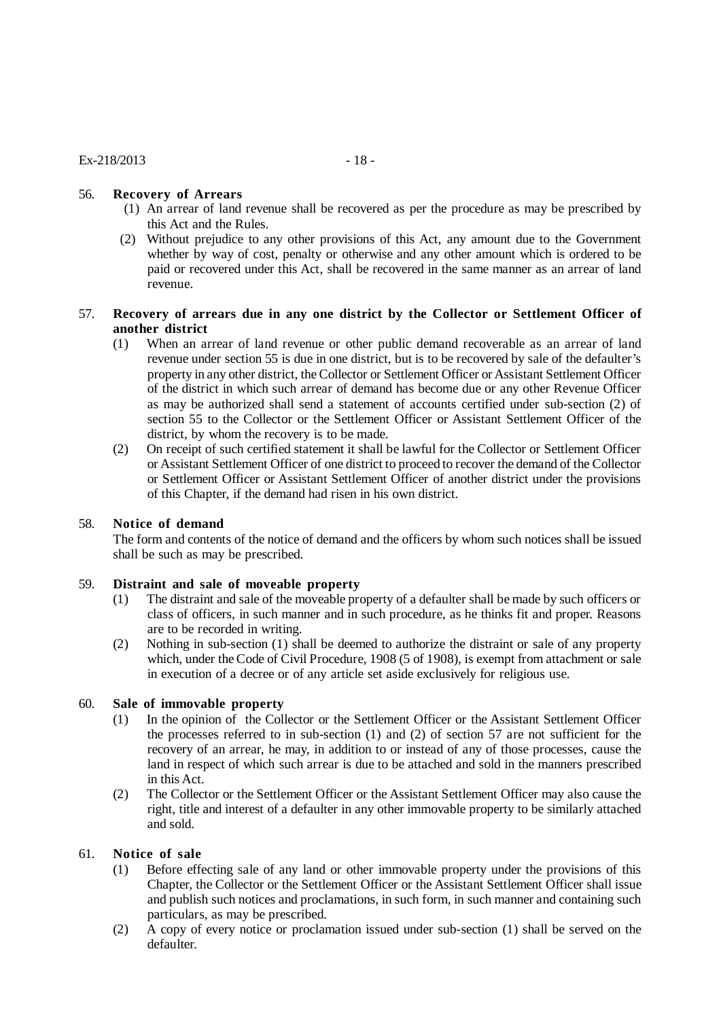# 56. **Recovery of Arrears**

- (1) An arrear of land revenue shall be recovered as per the procedure as may be prescribed by this Act and the Rules.
- (2) Without prejudice to any other provisions of this Act, any amount due to the Government whether by way of cost, penalty or otherwise and any other amount which is ordered to be paid or recovered under this Act, shall be recovered in the same manner as an arrear of land revenue.

## 57. **Recovery of arrears due in any one district by the Collector or Settlement Officer of another district**

- (1) When an arrear of land revenue or other public demand recoverable as an arrear of land revenue under section 55 is due in one district, but is to be recovered by sale of the defaulter's property in any other district, the Collector or Settlement Officer or Assistant Settlement Officer of the district in which such arrear of demand has become due or any other Revenue Officer as may be authorized shall send a statement of accounts certified under sub-section (2) of section 55 to the Collector or the Settlement Officer or Assistant Settlement Officer of the district, by whom the recovery is to be made.
- (2) On receipt of such certified statement it shall be lawful for the Collector or Settlement Officer or Assistant Settlement Officer of one district to proceed to recover the demand of the Collector or Settlement Officer or Assistant Settlement Officer of another district under the provisions of this Chapter, if the demand had risen in his own district.

## 58. **Notice of demand**

The form and contents of the notice of demand and the officers by whom such notices shall be issued shall be such as may be prescribed.

## 59. **Distraint and sale of moveable property**

- (1) The distraint and sale of the moveable property of a defaulter shall be made by such officers or class of officers, in such manner and in such procedure, as he thinks fit and proper. Reasons are to be recorded in writing.
- (2) Nothing in sub-section (1) shall be deemed to authorize the distraint or sale of any property which, under the Code of Civil Procedure, 1908 (5 of 1908), is exempt from attachment or sale in execution of a decree or of any article set aside exclusively for religious use.

# 60. **Sale of immovable property**

- (1) In the opinion of the Collector or the Settlement Officer or the Assistant Settlement Officer the processes referred to in sub-section (1) and (2) of section 57 are not sufficient for the recovery of an arrear, he may, in addition to or instead of any of those processes, cause the land in respect of which such arrear is due to be attached and sold in the manners prescribed in this Act.
- (2) The Collector or the Settlement Officer or the Assistant Settlement Officer may also cause the right, title and interest of a defaulter in any other immovable property to be similarly attached and sold.

# 61. **Notice of sale**

- (1) Before effecting sale of any land or other immovable property under the provisions of this Chapter, the Collector or the Settlement Officer or the Assistant Settlement Officer shall issue and publish such notices and proclamations, in such form, in such manner and containing such particulars, as may be prescribed.
- (2) A copy of every notice or proclamation issued under sub-section (1) shall be served on the defaulter.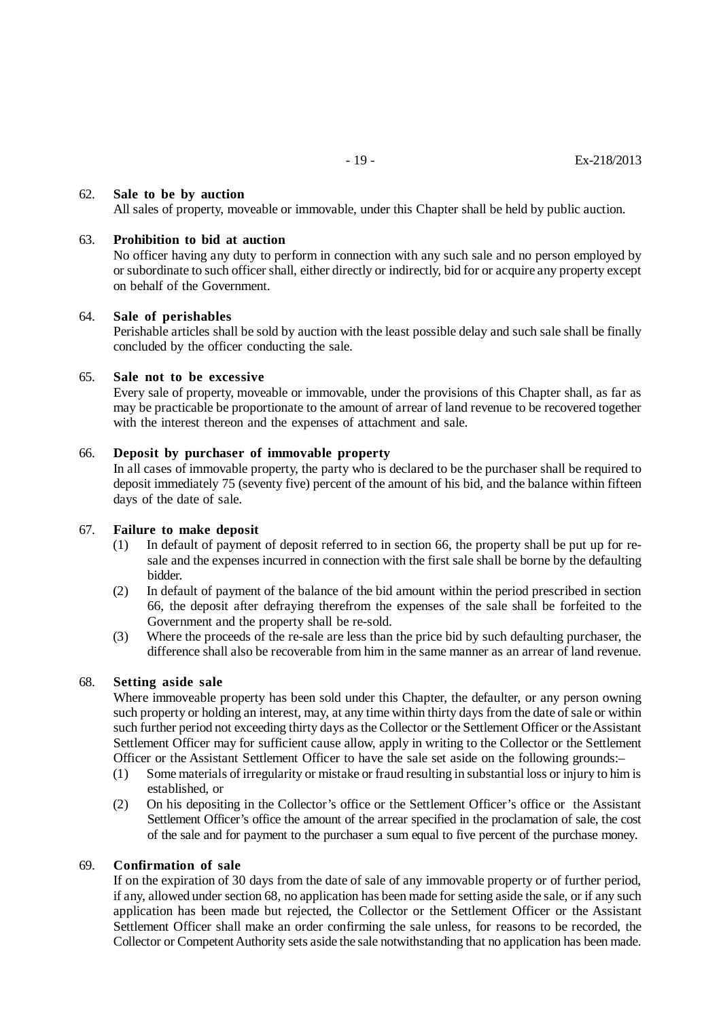## 62. **Sale to be by auction**

All sales of property, moveable or immovable, under this Chapter shall be held by public auction.

#### 63. **Prohibition to bid at auction**

No officer having any duty to perform in connection with any such sale and no person employed by or subordinate to such officer shall, either directly or indirectly, bid for or acquire any property except on behalf of the Government.

#### 64. **Sale of perishables**

Perishable articles shall be sold by auction with the least possible delay and such sale shall be finally concluded by the officer conducting the sale.

## 65. **Sale not to be excessive**

Every sale of property, moveable or immovable, under the provisions of this Chapter shall, as far as may be practicable be proportionate to the amount of arrear of land revenue to be recovered together with the interest thereon and the expenses of attachment and sale.

#### 66. **Deposit by purchaser of immovable property**

In all cases of immovable property, the party who is declared to be the purchaser shall be required to deposit immediately 75 (seventy five) percent of the amount of his bid, and the balance within fifteen days of the date of sale.

#### 67. **Failure to make deposit**

- (1) In default of payment of deposit referred to in section 66, the property shall be put up for resale and the expenses incurred in connection with the first sale shall be borne by the defaulting bidder.
- (2) In default of payment of the balance of the bid amount within the period prescribed in section 66, the deposit after defraying therefrom the expenses of the sale shall be forfeited to the Government and the property shall be re-sold.
- (3) Where the proceeds of the re-sale are less than the price bid by such defaulting purchaser, the difference shall also be recoverable from him in the same manner as an arrear of land revenue.

#### 68. **Setting aside sale**

Where immoveable property has been sold under this Chapter, the defaulter, or any person owning such property or holding an interest, may, at any time within thirty days from the date of sale or within such further period not exceeding thirty days as the Collector or the Settlement Officer or the Assistant Settlement Officer may for sufficient cause allow, apply in writing to the Collector or the Settlement Officer or the Assistant Settlement Officer to have the sale set aside on the following grounds:–

- (1) Some materials of irregularity or mistake or fraud resulting in substantial loss or injury to him is established, or
- (2) On his depositing in the Collector's office or the Settlement Officer's office or the Assistant Settlement Officer's office the amount of the arrear specified in the proclamation of sale, the cost of the sale and for payment to the purchaser a sum equal to five percent of the purchase money.

#### 69. **Confirmation of sale**

If on the expiration of 30 days from the date of sale of any immovable property or of further period, if any, allowed under section 68, no application has been made for setting aside the sale, or if any such application has been made but rejected, the Collector or the Settlement Officer or the Assistant Settlement Officer shall make an order confirming the sale unless, for reasons to be recorded, the Collector or Competent Authority sets aside the sale notwithstanding that no application has been made.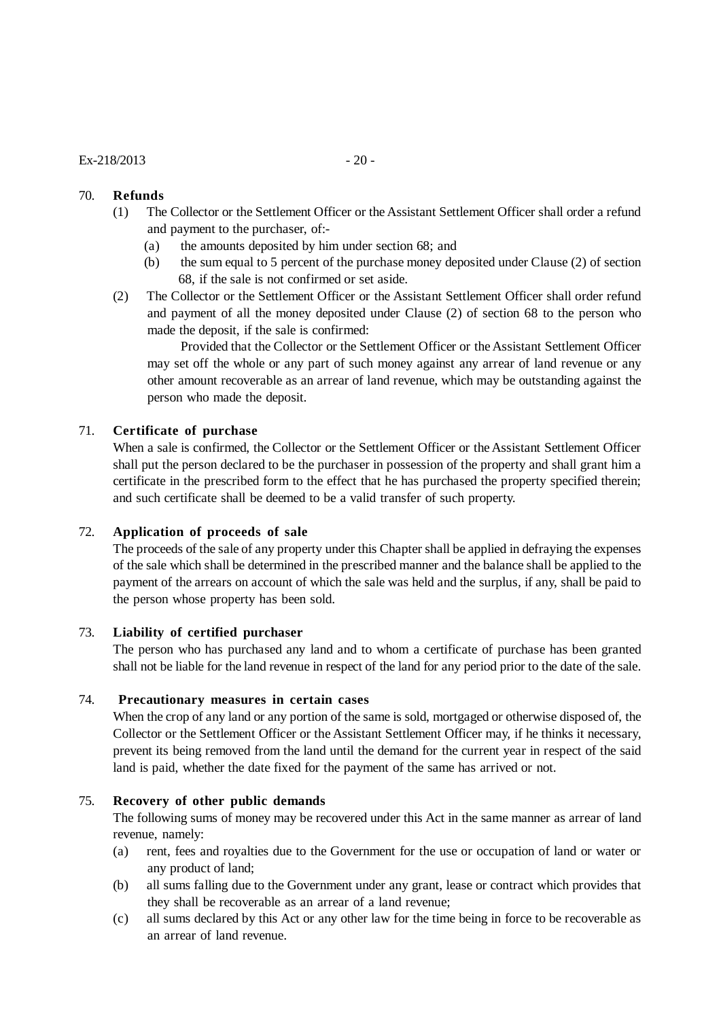#### $Ex - 218/2013$  - 20 -

## 70. **Refunds**

- (1) The Collector or the Settlement Officer or the Assistant Settlement Officer shall order a refund and payment to the purchaser, of:-
	- (a) the amounts deposited by him under section 68; and
	- (b) the sum equal to 5 percent of the purchase money deposited under Clause (2) of section 68, if the sale is not confirmed or set aside.
- (2) The Collector or the Settlement Officer or the Assistant Settlement Officer shall order refund and payment of all the money deposited under Clause (2) of section 68 to the person who made the deposit, if the sale is confirmed:

Provided that the Collector or the Settlement Officer or the Assistant Settlement Officer may set off the whole or any part of such money against any arrear of land revenue or any other amount recoverable as an arrear of land revenue, which may be outstanding against the person who made the deposit.

## 71. **Certificate of purchase**

When a sale is confirmed, the Collector or the Settlement Officer or the Assistant Settlement Officer shall put the person declared to be the purchaser in possession of the property and shall grant him a certificate in the prescribed form to the effect that he has purchased the property specified therein; and such certificate shall be deemed to be a valid transfer of such property.

## 72. **Application of proceeds of sale**

The proceeds of the sale of any property under this Chapter shall be applied in defraying the expenses of the sale which shall be determined in the prescribed manner and the balance shall be applied to the payment of the arrears on account of which the sale was held and the surplus, if any, shall be paid to the person whose property has been sold.

#### 73. **Liability of certified purchaser**

The person who has purchased any land and to whom a certificate of purchase has been granted shall not be liable for the land revenue in respect of the land for any period prior to the date of the sale.

## 74. **Precautionary measures in certain cases**

When the crop of any land or any portion of the same is sold, mortgaged or otherwise disposed of, the Collector or the Settlement Officer or the Assistant Settlement Officer may, if he thinks it necessary, prevent its being removed from the land until the demand for the current year in respect of the said land is paid, whether the date fixed for the payment of the same has arrived or not.

#### 75. **Recovery of other public demands**

The following sums of money may be recovered under this Act in the same manner as arrear of land revenue, namely:

- (a) rent, fees and royalties due to the Government for the use or occupation of land or water or any product of land;
- (b) all sums falling due to the Government under any grant, lease or contract which provides that they shall be recoverable as an arrear of a land revenue;
- (c) all sums declared by this Act or any other law for the time being in force to be recoverable as an arrear of land revenue.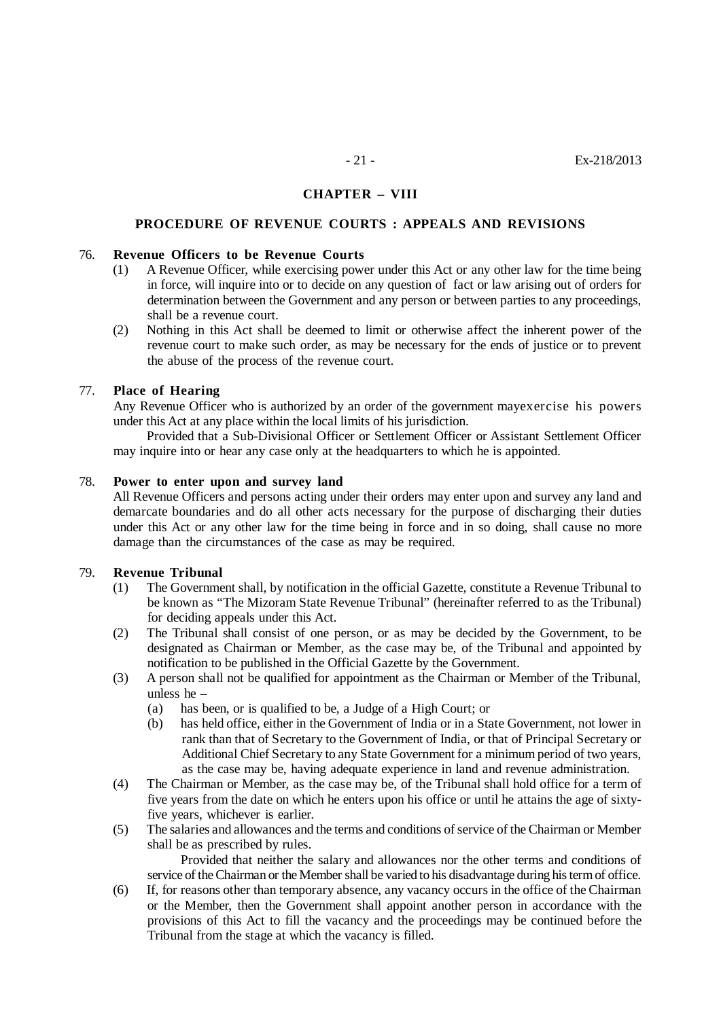## **CHAPTER – VIII**

#### **PROCEDURE OF REVENUE COURTS : APPEALS AND REVISIONS**

#### 76. **Revenue Officers to be Revenue Courts**

- (1) A Revenue Officer, while exercising power under this Act or any other law for the time being in force, will inquire into or to decide on any question of fact or law arising out of orders for determination between the Government and any person or between parties to any proceedings, shall be a revenue court.
- (2) Nothing in this Act shall be deemed to limit or otherwise affect the inherent power of the revenue court to make such order, as may be necessary for the ends of justice or to prevent the abuse of the process of the revenue court.

#### 77. **Place of Hearing**

Any Revenue Officer who is authorized by an order of the government mayexercise his powers under this Act at any place within the local limits of his jurisdiction.

Provided that a Sub-Divisional Officer or Settlement Officer or Assistant Settlement Officer may inquire into or hear any case only at the headquarters to which he is appointed.

#### 78. **Power to enter upon and survey land**

 All Revenue Officers and persons acting under their orders may enter upon and survey any land and demarcate boundaries and do all other acts necessary for the purpose of discharging their duties under this Act or any other law for the time being in force and in so doing, shall cause no more damage than the circumstances of the case as may be required.

#### 79. **Revenue Tribunal**

- (1) The Government shall, by notification in the official Gazette, constitute a Revenue Tribunal to be known as "The Mizoram State Revenue Tribunal" (hereinafter referred to as the Tribunal) for deciding appeals under this Act.
- (2) The Tribunal shall consist of one person, or as may be decided by the Government, to be designated as Chairman or Member, as the case may be, of the Tribunal and appointed by notification to be published in the Official Gazette by the Government.
- (3) A person shall not be qualified for appointment as the Chairman or Member of the Tribunal, unless he –
	- (a) has been, or is qualified to be, a Judge of a High Court; or
	- (b) has held office, either in the Government of India or in a State Government, not lower in rank than that of Secretary to the Government of India, or that of Principal Secretary or Additional Chief Secretary to any State Government for a minimum period of two years, as the case may be, having adequate experience in land and revenue administration.
- (4) The Chairman or Member, as the case may be, of the Tribunal shall hold office for a term of five years from the date on which he enters upon his office or until he attains the age of sixtyfive years, whichever is earlier.
- (5) The salaries and allowances and the terms and conditions of service of the Chairman or Member shall be as prescribed by rules.

Provided that neither the salary and allowances nor the other terms and conditions of service of the Chairman or the Member shall be varied to his disadvantage during his term of office.

(6) If, for reasons other than temporary absence, any vacancy occurs in the office of the Chairman or the Member, then the Government shall appoint another person in accordance with the provisions of this Act to fill the vacancy and the proceedings may be continued before the Tribunal from the stage at which the vacancy is filled.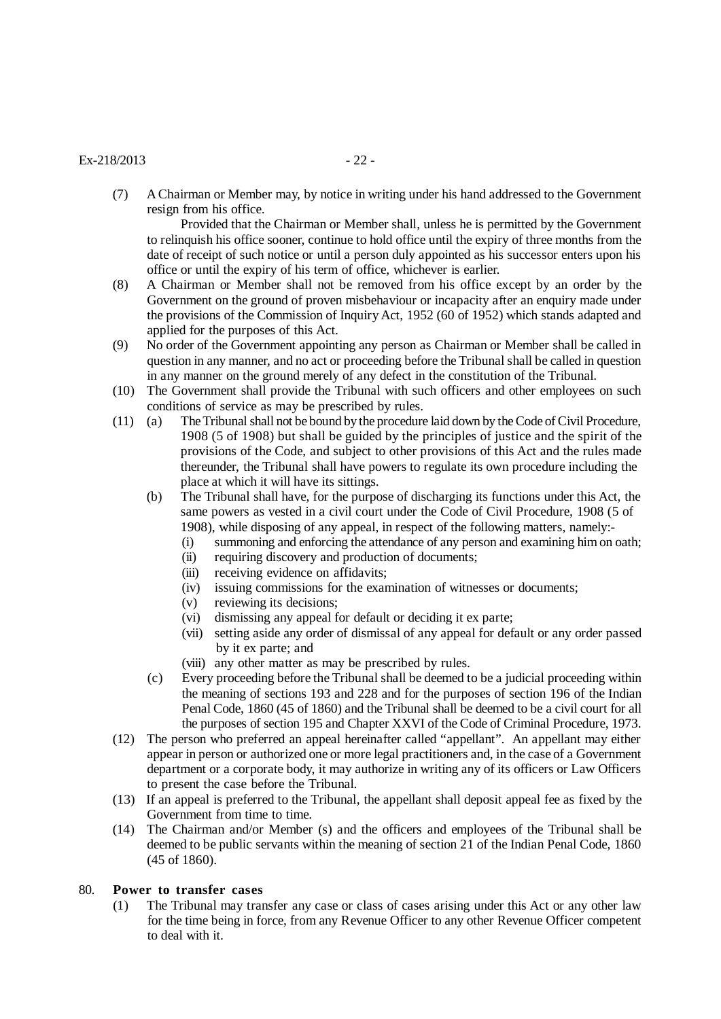## $Ex-218/2013$  - 22 -

(7) A Chairman or Member may, by notice in writing under his hand addressed to the Government resign from his office.

Provided that the Chairman or Member shall, unless he is permitted by the Government to relinquish his office sooner, continue to hold office until the expiry of three months from the date of receipt of such notice or until a person duly appointed as his successor enters upon his office or until the expiry of his term of office, whichever is earlier.

- (8) A Chairman or Member shall not be removed from his office except by an order by the Government on the ground of proven misbehaviour or incapacity after an enquiry made under the provisions of the Commission of Inquiry Act, 1952 (60 of 1952) which stands adapted and applied for the purposes of this Act.
- (9) No order of the Government appointing any person as Chairman or Member shall be called in question in any manner, and no act or proceeding before the Tribunal shall be called in question in any manner on the ground merely of any defect in the constitution of the Tribunal.
- (10) The Government shall provide the Tribunal with such officers and other employees on such conditions of service as may be prescribed by rules.
- (11) (a) The Tribunal shall not be bound by the procedure laid down by the Code of Civil Procedure, 1908 (5 of 1908) but shall be guided by the principles of justice and the spirit of the provisions of the Code, and subject to other provisions of this Act and the rules made thereunder, the Tribunal shall have powers to regulate its own procedure including the place at which it will have its sittings.
	- (b) The Tribunal shall have, for the purpose of discharging its functions under this Act, the same powers as vested in a civil court under the Code of Civil Procedure, 1908 (5 of 1908), while disposing of any appeal, in respect of the following matters, namely:-
		- (i) summoning and enforcing the attendance of any person and examining him on oath;
		- (ii) requiring discovery and production of documents;
		- (iii) receiving evidence on affidavits;
		- (iv) issuing commissions for the examination of witnesses or documents;
		- (v) reviewing its decisions;
		- (vi) dismissing any appeal for default or deciding it ex parte;
		- (vii) setting aside any order of dismissal of any appeal for default or any order passed by it ex parte; and
		- (viii) any other matter as may be prescribed by rules.
	- (c) Every proceeding before the Tribunal shall be deemed to be a judicial proceeding within the meaning of sections 193 and 228 and for the purposes of section 196 of the Indian Penal Code, 1860 (45 of 1860) and the Tribunal shall be deemed to be a civil court for all the purposes of section 195 and Chapter XXVI of the Code of Criminal Procedure, 1973.
- (12) The person who preferred an appeal hereinafter called "appellant". An appellant may either appear in person or authorized one or more legal practitioners and, in the case of a Government department or a corporate body, it may authorize in writing any of its officers or Law Officers to present the case before the Tribunal.
- (13) If an appeal is preferred to the Tribunal, the appellant shall deposit appeal fee as fixed by the Government from time to time.
- (14) The Chairman and/or Member (s) and the officers and employees of the Tribunal shall be deemed to be public servants within the meaning of section 21 of the Indian Penal Code, 1860 (45 of 1860).

## 80. **Power to transfer cases**

(1) The Tribunal may transfer any case or class of cases arising under this Act or any other law for the time being in force, from any Revenue Officer to any other Revenue Officer competent to deal with it.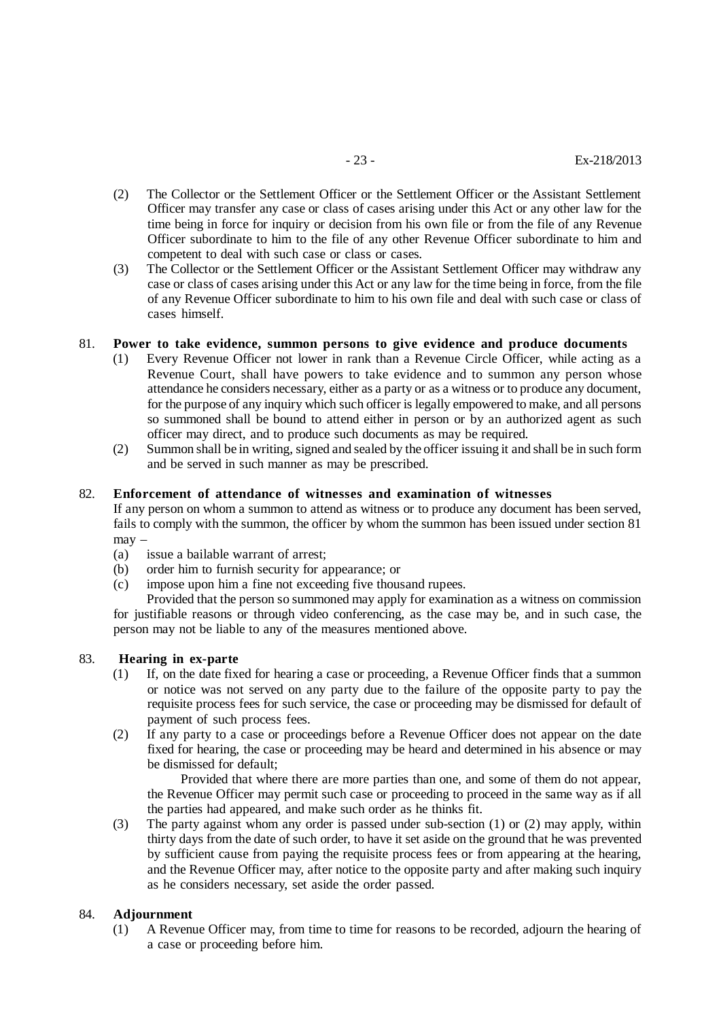- (2) The Collector or the Settlement Officer or the Settlement Officer or the Assistant Settlement Officer may transfer any case or class of cases arising under this Act or any other law for the time being in force for inquiry or decision from his own file or from the file of any Revenue Officer subordinate to him to the file of any other Revenue Officer subordinate to him and competent to deal with such case or class or cases.
- (3) The Collector or the Settlement Officer or the Assistant Settlement Officer may withdraw any case or class of cases arising under this Act or any law for the time being in force, from the file of any Revenue Officer subordinate to him to his own file and deal with such case or class of cases himself.

## 81. **Power to take evidence, summon persons to give evidence and produce documents**

- (1) Every Revenue Officer not lower in rank than a Revenue Circle Officer, while acting as a Revenue Court, shall have powers to take evidence and to summon any person whose attendance he considers necessary, either as a party or as a witness or to produce any document, for the purpose of any inquiry which such officer is legally empowered to make, and all persons so summoned shall be bound to attend either in person or by an authorized agent as such officer may direct, and to produce such documents as may be required.
- (2) Summon shall be in writing, signed and sealed by the officer issuing it and shall be in such form and be served in such manner as may be prescribed.

## 82. **Enforcement of attendance of witnesses and examination of witnesses**

If any person on whom a summon to attend as witness or to produce any document has been served, fails to comply with the summon, the officer by whom the summon has been issued under section 81 may –

- (a) issue a bailable warrant of arrest;
- (b) order him to furnish security for appearance; or
- (c) impose upon him a fine not exceeding five thousand rupees.

Provided that the person so summoned may apply for examination as a witness on commission for justifiable reasons or through video conferencing, as the case may be, and in such case, the person may not be liable to any of the measures mentioned above.

## 83. **Hearing in ex-parte**

- (1) If, on the date fixed for hearing a case or proceeding, a Revenue Officer finds that a summon or notice was not served on any party due to the failure of the opposite party to pay the requisite process fees for such service, the case or proceeding may be dismissed for default of payment of such process fees.
- (2) If any party to a case or proceedings before a Revenue Officer does not appear on the date fixed for hearing, the case or proceeding may be heard and determined in his absence or may be dismissed for default;

Provided that where there are more parties than one, and some of them do not appear, the Revenue Officer may permit such case or proceeding to proceed in the same way as if all the parties had appeared, and make such order as he thinks fit.

(3) The party against whom any order is passed under sub-section (1) or (2) may apply, within thirty days from the date of such order, to have it set aside on the ground that he was prevented by sufficient cause from paying the requisite process fees or from appearing at the hearing, and the Revenue Officer may, after notice to the opposite party and after making such inquiry as he considers necessary, set aside the order passed.

## 84. **Adjournment**

(1) A Revenue Officer may, from time to time for reasons to be recorded, adjourn the hearing of a case or proceeding before him.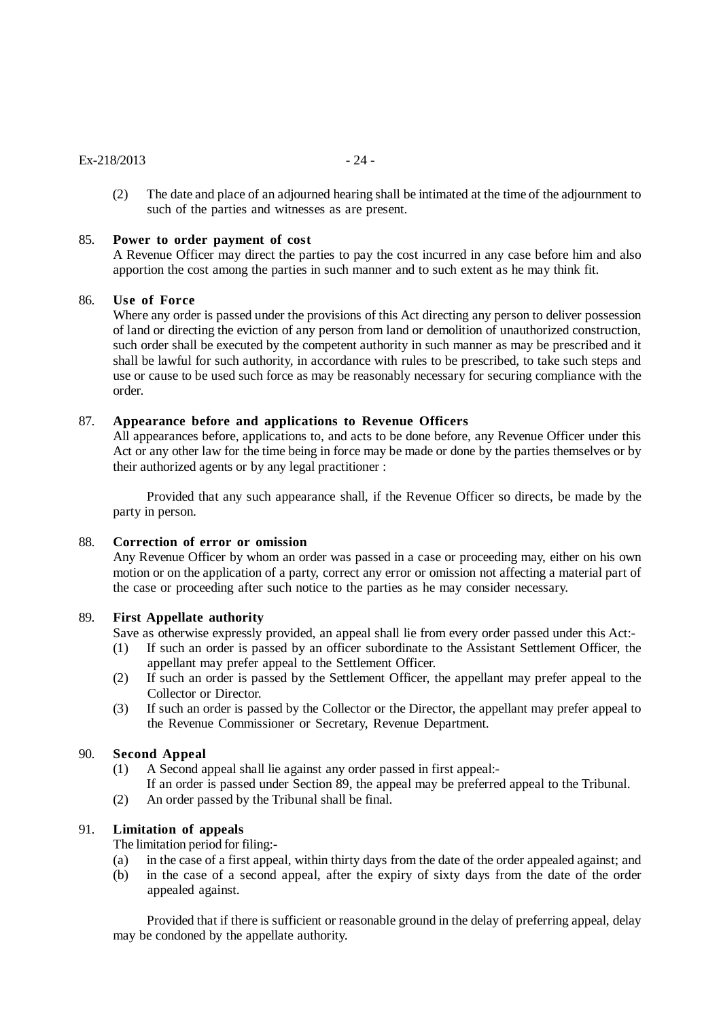#### $Ex-218/2013$  - 24 -

(2) The date and place of an adjourned hearing shall be intimated at the time of the adjournment to such of the parties and witnesses as are present.

#### 85. **Power to order payment of cost**

A Revenue Officer may direct the parties to pay the cost incurred in any case before him and also apportion the cost among the parties in such manner and to such extent as he may think fit.

#### 86. **Use of Force**

Where any order is passed under the provisions of this Act directing any person to deliver possession of land or directing the eviction of any person from land or demolition of unauthorized construction, such order shall be executed by the competent authority in such manner as may be prescribed and it shall be lawful for such authority, in accordance with rules to be prescribed, to take such steps and use or cause to be used such force as may be reasonably necessary for securing compliance with the order.

#### 87. **Appearance before and applications to Revenue Officers**

All appearances before, applications to, and acts to be done before, any Revenue Officer under this Act or any other law for the time being in force may be made or done by the parties themselves or by their authorized agents or by any legal practitioner :

Provided that any such appearance shall, if the Revenue Officer so directs, be made by the party in person.

#### 88. **Correction of error or omission**

Any Revenue Officer by whom an order was passed in a case or proceeding may, either on his own motion or on the application of a party, correct any error or omission not affecting a material part of the case or proceeding after such notice to the parties as he may consider necessary.

#### 89. **First Appellate authority**

- Save as otherwise expressly provided, an appeal shall lie from every order passed under this Act:-
- (1) If such an order is passed by an officer subordinate to the Assistant Settlement Officer, the appellant may prefer appeal to the Settlement Officer.
- (2) If such an order is passed by the Settlement Officer, the appellant may prefer appeal to the Collector or Director.
- (3) If such an order is passed by the Collector or the Director, the appellant may prefer appeal to the Revenue Commissioner or Secretary, Revenue Department.

## 90. **Second Appeal**

- (1) A Second appeal shall lie against any order passed in first appeal:-
- If an order is passed under Section 89, the appeal may be preferred appeal to the Tribunal.
- (2) An order passed by the Tribunal shall be final.

# 91. **Limitation of appeals**

The limitation period for filing:-

- (a) in the case of a first appeal, within thirty days from the date of the order appealed against; and
- (b) in the case of a second appeal, after the expiry of sixty days from the date of the order appealed against.

Provided that if there is sufficient or reasonable ground in the delay of preferring appeal, delay may be condoned by the appellate authority.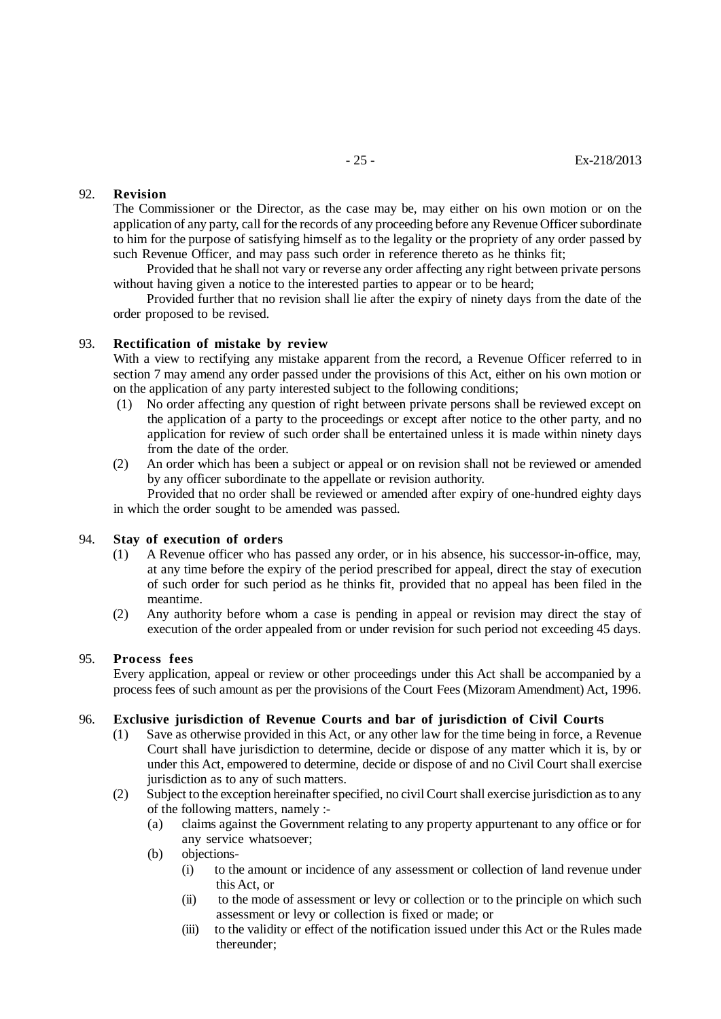## 92. **Revision**

The Commissioner or the Director, as the case may be, may either on his own motion or on the application of any party, call for the records of any proceeding before any Revenue Officer subordinate to him for the purpose of satisfying himself as to the legality or the propriety of any order passed by such Revenue Officer, and may pass such order in reference thereto as he thinks fit;

Provided that he shall not vary or reverse any order affecting any right between private persons without having given a notice to the interested parties to appear or to be heard;

Provided further that no revision shall lie after the expiry of ninety days from the date of the order proposed to be revised.

## 93. **Rectification of mistake by review**

With a view to rectifying any mistake apparent from the record, a Revenue Officer referred to in section 7 may amend any order passed under the provisions of this Act, either on his own motion or on the application of any party interested subject to the following conditions;

- (1) No order affecting any question of right between private persons shall be reviewed except on the application of a party to the proceedings or except after notice to the other party, and no application for review of such order shall be entertained unless it is made within ninety days from the date of the order.
- (2) An order which has been a subject or appeal or on revision shall not be reviewed or amended by any officer subordinate to the appellate or revision authority.

 Provided that no order shall be reviewed or amended after expiry of one-hundred eighty days in which the order sought to be amended was passed.

### 94. **Stay of execution of orders**

- (1) A Revenue officer who has passed any order, or in his absence, his successor-in-office, may, at any time before the expiry of the period prescribed for appeal, direct the stay of execution of such order for such period as he thinks fit, provided that no appeal has been filed in the meantime.
- (2) Any authority before whom a case is pending in appeal or revision may direct the stay of execution of the order appealed from or under revision for such period not exceeding 45 days.

# 95. **Process fees**

Every application, appeal or review or other proceedings under this Act shall be accompanied by a process fees of such amount as per the provisions of the Court Fees (Mizoram Amendment) Act, 1996.

#### 96. **Exclusive jurisdiction of Revenue Courts and bar of jurisdiction of Civil Courts**

- (1) Save as otherwise provided in this Act, or any other law for the time being in force, a Revenue Court shall have jurisdiction to determine, decide or dispose of any matter which it is, by or under this Act, empowered to determine, decide or dispose of and no Civil Court shall exercise jurisdiction as to any of such matters.
- (2) Subject to the exception hereinafter specified, no civil Court shall exercise jurisdiction as to any of the following matters, namely :-
	- (a) claims against the Government relating to any property appurtenant to any office or for any service whatsoever;
	- (b) objections-
		- (i) to the amount or incidence of any assessment or collection of land revenue under this Act, or
		- (ii) to the mode of assessment or levy or collection or to the principle on which such assessment or levy or collection is fixed or made; or
		- (iii) to the validity or effect of the notification issued under this Act or the Rules made thereunder;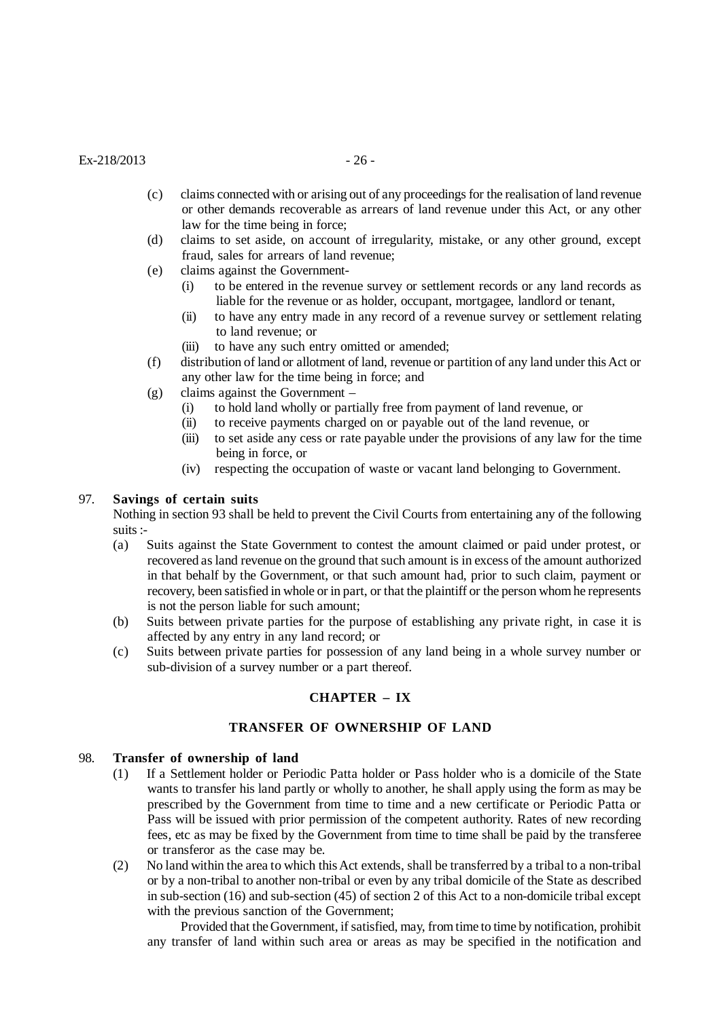## $Ex-218/2013$  - 26 -

- (c) claims connected with or arising out of any proceedings for the realisation of land revenue or other demands recoverable as arrears of land revenue under this Act, or any other law for the time being in force;
- (d) claims to set aside, on account of irregularity, mistake, or any other ground, except fraud, sales for arrears of land revenue;
- (e) claims against the Government-
	- (i) to be entered in the revenue survey or settlement records or any land records as liable for the revenue or as holder, occupant, mortgagee, landlord or tenant,
	- (ii) to have any entry made in any record of a revenue survey or settlement relating to land revenue; or
	- (iii) to have any such entry omitted or amended;
- (f) distribution of land or allotment of land, revenue or partition of any land under this Act or any other law for the time being in force; and
- (g) claims against the Government
	- (i) to hold land wholly or partially free from payment of land revenue, or
	- (ii) to receive payments charged on or payable out of the land revenue, or
	- (iii) to set aside any cess or rate payable under the provisions of any law for the time being in force, or
	- (iv) respecting the occupation of waste or vacant land belonging to Government.

#### 97. **Savings of certain suits**

Nothing in section 93 shall be held to prevent the Civil Courts from entertaining any of the following suits :-

- (a) Suits against the State Government to contest the amount claimed or paid under protest, or recovered as land revenue on the ground that such amount is in excess of the amount authorized in that behalf by the Government, or that such amount had, prior to such claim, payment or recovery, been satisfied in whole or in part, or that the plaintiff or the person whom he represents is not the person liable for such amount;
- (b) Suits between private parties for the purpose of establishing any private right, in case it is affected by any entry in any land record; or
- (c) Suits between private parties for possession of any land being in a whole survey number or sub-division of a survey number or a part thereof.

## **CHAPTER – IX**

## **TRANSFER OF OWNERSHIP OF LAND**

#### 98. **Transfer of ownership of land**

- (1) If a Settlement holder or Periodic Patta holder or Pass holder who is a domicile of the State wants to transfer his land partly or wholly to another, he shall apply using the form as may be prescribed by the Government from time to time and a new certificate or Periodic Patta or Pass will be issued with prior permission of the competent authority. Rates of new recording fees, etc as may be fixed by the Government from time to time shall be paid by the transferee or transferor as the case may be.
- (2) No land within the area to which this Act extends, shall be transferred by a tribal to a non-tribal or by a non-tribal to another non-tribal or even by any tribal domicile of the State as described in sub-section (16) and sub-section (45) of section 2 of this Act to a non-domicile tribal except with the previous sanction of the Government:

Provided that the Government, if satisfied, may, from time to time by notification, prohibit any transfer of land within such area or areas as may be specified in the notification and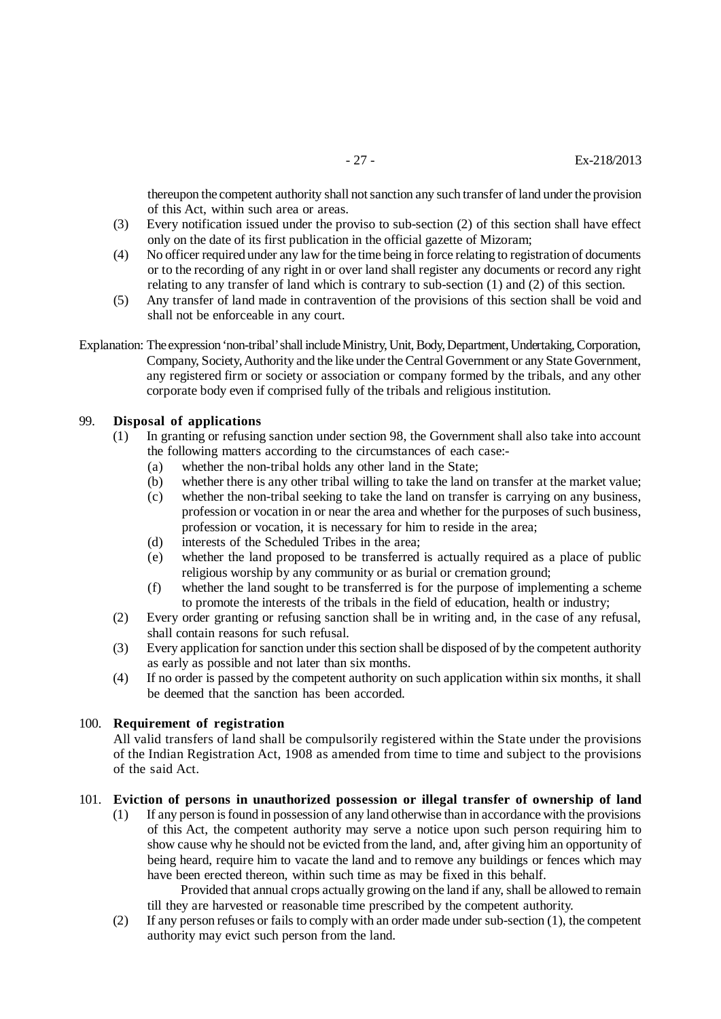thereupon the competent authority shall not sanction any such transfer of land under the provision of this Act, within such area or areas.

- (3) Every notification issued under the proviso to sub-section (2) of this section shall have effect only on the date of its first publication in the official gazette of Mizoram;
- (4) No officer required under any law for the time being in force relating to registration of documents or to the recording of any right in or over land shall register any documents or record any right relating to any transfer of land which is contrary to sub-section (1) and (2) of this section.
- (5) Any transfer of land made in contravention of the provisions of this section shall be void and shall not be enforceable in any court.
- Explanation: The expression 'non-tribal' shall include Ministry, Unit, Body, Department, Undertaking, Corporation, Company, Society, Authority and the like under the Central Government or any State Government, any registered firm or society or association or company formed by the tribals, and any other corporate body even if comprised fully of the tribals and religious institution.

## 99. **Disposal of applications**

- (1) In granting or refusing sanction under section 98, the Government shall also take into account the following matters according to the circumstances of each case:-
	- (a) whether the non-tribal holds any other land in the State;
	- (b) whether there is any other tribal willing to take the land on transfer at the market value;
	- (c) whether the non-tribal seeking to take the land on transfer is carrying on any business, profession or vocation in or near the area and whether for the purposes of such business, profession or vocation, it is necessary for him to reside in the area;
	- (d) interests of the Scheduled Tribes in the area;
	- (e) whether the land proposed to be transferred is actually required as a place of public religious worship by any community or as burial or cremation ground;
	- (f) whether the land sought to be transferred is for the purpose of implementing a scheme to promote the interests of the tribals in the field of education, health or industry;
- (2) Every order granting or refusing sanction shall be in writing and, in the case of any refusal, shall contain reasons for such refusal.
- (3) Every application for sanction under this section shall be disposed of by the competent authority as early as possible and not later than six months.
- (4) If no order is passed by the competent authority on such application within six months, it shall be deemed that the sanction has been accorded.

## 100. **Requirement of registration**

All valid transfers of land shall be compulsorily registered within the State under the provisions of the Indian Registration Act, 1908 as amended from time to time and subject to the provisions of the said Act.

## 101. **Eviction of persons in unauthorized possession or illegal transfer of ownership of land**

(1) If any person is found in possession of any land otherwise than in accordance with the provisions of this Act, the competent authority may serve a notice upon such person requiring him to show cause why he should not be evicted from the land, and, after giving him an opportunity of being heard, require him to vacate the land and to remove any buildings or fences which may have been erected thereon, within such time as may be fixed in this behalf.

Provided that annual crops actually growing on the land if any, shall be allowed to remain till they are harvested or reasonable time prescribed by the competent authority.

(2) If any person refuses or fails to comply with an order made under sub-section (1), the competent authority may evict such person from the land.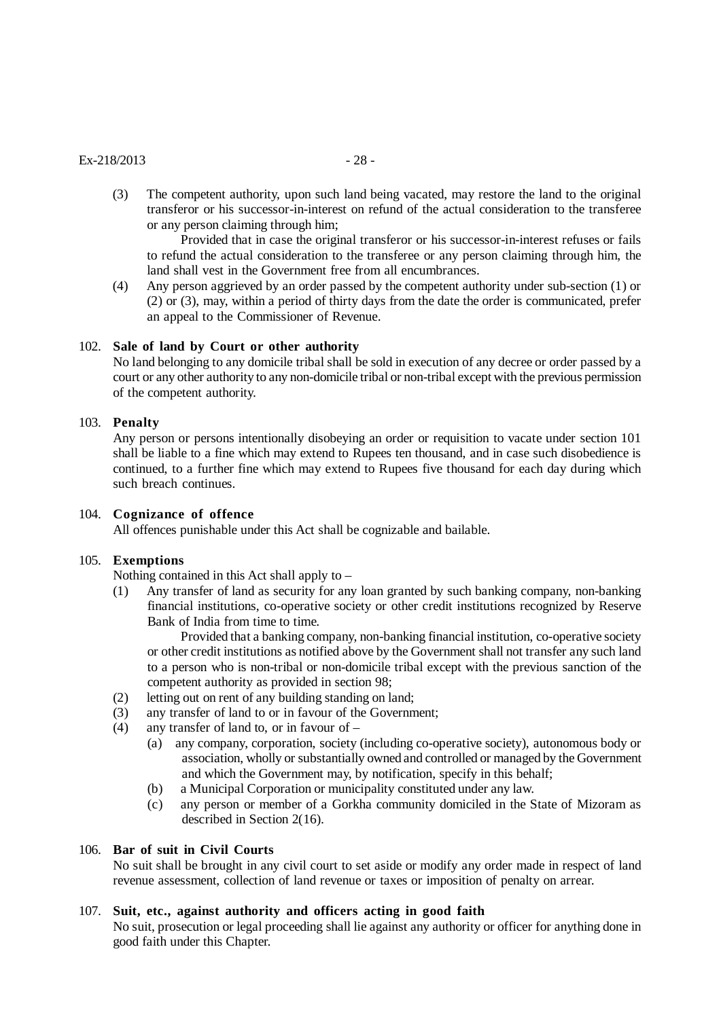#### $Ex-218/2013$  - 28 -

(3) The competent authority, upon such land being vacated, may restore the land to the original transferor or his successor-in-interest on refund of the actual consideration to the transferee or any person claiming through him;

Provided that in case the original transferor or his successor-in-interest refuses or fails to refund the actual consideration to the transferee or any person claiming through him, the land shall vest in the Government free from all encumbrances.

(4) Any person aggrieved by an order passed by the competent authority under sub-section (1) or (2) or (3), may, within a period of thirty days from the date the order is communicated, prefer an appeal to the Commissioner of Revenue.

## 102. **Sale of land by Court or other authority**

No land belonging to any domicile tribal shall be sold in execution of any decree or order passed by a court or any other authority to any non-domicile tribal or non-tribal except with the previous permission of the competent authority.

## 103. **Penalty**

Any person or persons intentionally disobeying an order or requisition to vacate under section 101 shall be liable to a fine which may extend to Rupees ten thousand, and in case such disobedience is continued, to a further fine which may extend to Rupees five thousand for each day during which such breach continues.

## 104. **Cognizance of offence**

All offences punishable under this Act shall be cognizable and bailable.

## 105. **Exemptions**

Nothing contained in this Act shall apply to –

(1) Any transfer of land as security for any loan granted by such banking company, non-banking financial institutions, co-operative society or other credit institutions recognized by Reserve Bank of India from time to time.

Provided that a banking company, non-banking financial institution, co-operative society or other credit institutions as notified above by the Government shall not transfer any such land to a person who is non-tribal or non-domicile tribal except with the previous sanction of the competent authority as provided in section 98;

- (2) letting out on rent of any building standing on land;
- (3) any transfer of land to or in favour of the Government;
- (4) any transfer of land to, or in favour of
	- (a) any company, corporation, society (including co-operative society), autonomous body or association, wholly or substantially owned and controlled or managed by the Government and which the Government may, by notification, specify in this behalf;
	- (b) a Municipal Corporation or municipality constituted under any law.
	- (c) any person or member of a Gorkha community domiciled in the State of Mizoram as described in Section 2(16).

# 106. **Bar of suit in Civil Courts**

No suit shall be brought in any civil court to set aside or modify any order made in respect of land revenue assessment, collection of land revenue or taxes or imposition of penalty on arrear.

# 107. **Suit, etc., against authority and officers acting in good faith**

No suit, prosecution or legal proceeding shall lie against any authority or officer for anything done in good faith under this Chapter.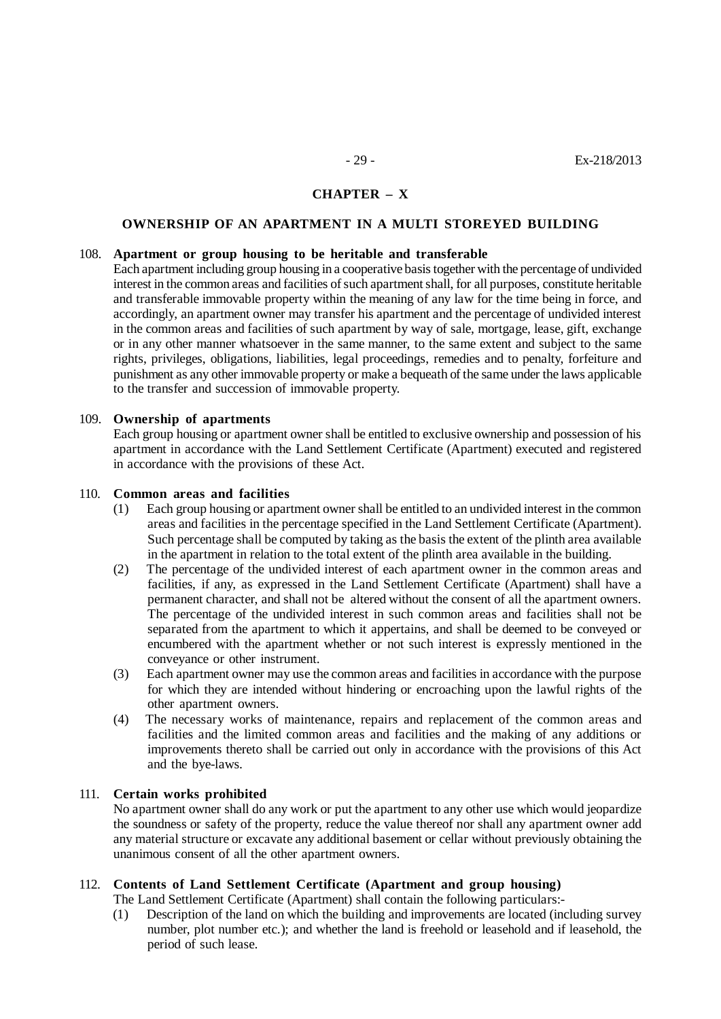## **CHAPTER – X**

#### **OWNERSHIP OF AN APARTMENT IN A MULTI STOREYED BUILDING**

#### 108. **Apartment or group housing to be heritable and transferable**

Each apartment including group housing in a cooperative basis together with the percentage of undivided interest in the common areas and facilities of such apartment shall, for all purposes, constitute heritable and transferable immovable property within the meaning of any law for the time being in force, and accordingly, an apartment owner may transfer his apartment and the percentage of undivided interest in the common areas and facilities of such apartment by way of sale, mortgage, lease, gift, exchange or in any other manner whatsoever in the same manner, to the same extent and subject to the same rights, privileges, obligations, liabilities, legal proceedings, remedies and to penalty, forfeiture and punishment as any other immovable property or make a bequeath of the same under the laws applicable to the transfer and succession of immovable property.

#### 109. **Ownership of apartments**

Each group housing or apartment owner shall be entitled to exclusive ownership and possession of his apartment in accordance with the Land Settlement Certificate (Apartment) executed and registered in accordance with the provisions of these Act.

#### 110. **Common areas and facilities**

- (1) Each group housing or apartment owner shall be entitled to an undivided interest in the common areas and facilities in the percentage specified in the Land Settlement Certificate (Apartment). Such percentage shall be computed by taking as the basis the extent of the plinth area available in the apartment in relation to the total extent of the plinth area available in the building.
- (2) The percentage of the undivided interest of each apartment owner in the common areas and facilities, if any, as expressed in the Land Settlement Certificate (Apartment) shall have a permanent character, and shall not be altered without the consent of all the apartment owners. The percentage of the undivided interest in such common areas and facilities shall not be separated from the apartment to which it appertains, and shall be deemed to be conveyed or encumbered with the apartment whether or not such interest is expressly mentioned in the conveyance or other instrument.
- (3) Each apartment owner may use the common areas and facilities in accordance with the purpose for which they are intended without hindering or encroaching upon the lawful rights of the other apartment owners.
- (4) The necessary works of maintenance, repairs and replacement of the common areas and facilities and the limited common areas and facilities and the making of any additions or improvements thereto shall be carried out only in accordance with the provisions of this Act and the bye-laws.

#### 111. **Certain works prohibited**

No apartment owner shall do any work or put the apartment to any other use which would jeopardize the soundness or safety of the property, reduce the value thereof nor shall any apartment owner add any material structure or excavate any additional basement or cellar without previously obtaining the unanimous consent of all the other apartment owners.

# 112. **Contents of Land Settlement Certificate (Apartment and group housing)**

The Land Settlement Certificate (Apartment) shall contain the following particulars:-

(1) Description of the land on which the building and improvements are located (including survey number, plot number etc.); and whether the land is freehold or leasehold and if leasehold, the period of such lease.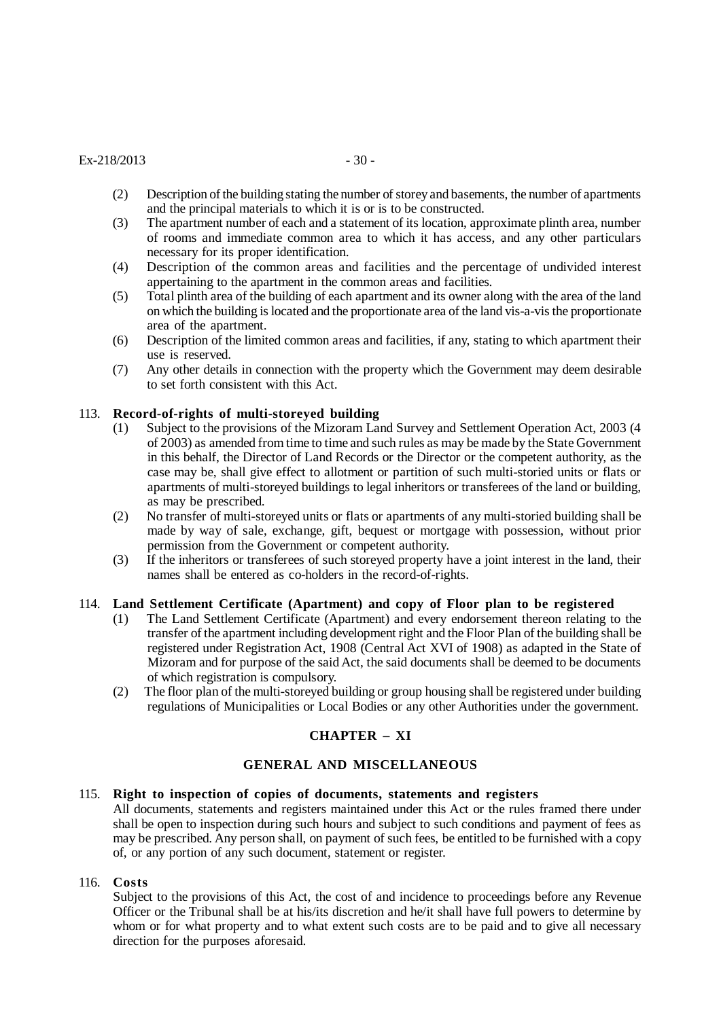#### $Ex-218/2013$  - 30 -

- (2) Description of the building stating the number of storey and basements, the number of apartments and the principal materials to which it is or is to be constructed.
- (3) The apartment number of each and a statement of its location, approximate plinth area, number of rooms and immediate common area to which it has access, and any other particulars necessary for its proper identification.
- (4) Description of the common areas and facilities and the percentage of undivided interest appertaining to the apartment in the common areas and facilities.
- (5) Total plinth area of the building of each apartment and its owner along with the area of the land on which the building is located and the proportionate area of the land vis-a-vis the proportionate area of the apartment.
- (6) Description of the limited common areas and facilities, if any, stating to which apartment their use is reserved.
- (7) Any other details in connection with the property which the Government may deem desirable to set forth consistent with this Act.

#### 113. **Record-of-rights of multi-storeyed building**

- (1) Subject to the provisions of the Mizoram Land Survey and Settlement Operation Act, 2003 (4 of 2003) as amended from time to time and such rules as may be made by the State Government in this behalf, the Director of Land Records or the Director or the competent authority, as the case may be, shall give effect to allotment or partition of such multi-storied units or flats or apartments of multi-storeyed buildings to legal inheritors or transferees of the land or building, as may be prescribed.
- (2) No transfer of multi-storeyed units or flats or apartments of any multi-storied building shall be made by way of sale, exchange, gift, bequest or mortgage with possession, without prior permission from the Government or competent authority.
- (3) If the inheritors or transferees of such storeyed property have a joint interest in the land, their names shall be entered as co-holders in the record-of-rights.

#### 114. **Land Settlement Certificate (Apartment) and copy of Floor plan to be registered**

- (1) The Land Settlement Certificate (Apartment) and every endorsement thereon relating to the transfer of the apartment including development right and the Floor Plan of the building shall be registered under Registration Act, 1908 (Central Act XVI of 1908) as adapted in the State of Mizoram and for purpose of the said Act, the said documents shall be deemed to be documents of which registration is compulsory.
- (2) The floor plan of the multi-storeyed building or group housing shall be registered under building regulations of Municipalities or Local Bodies or any other Authorities under the government.

## **CHAPTER – XI**

## **GENERAL AND MISCELLANEOUS**

#### 115. **Right to inspection of copies of documents, statements and registers**

All documents, statements and registers maintained under this Act or the rules framed there under shall be open to inspection during such hours and subject to such conditions and payment of fees as may be prescribed. Any person shall, on payment of such fees, be entitled to be furnished with a copy of, or any portion of any such document, statement or register.

#### 116. **Costs**

Subject to the provisions of this Act, the cost of and incidence to proceedings before any Revenue Officer or the Tribunal shall be at his/its discretion and he/it shall have full powers to determine by whom or for what property and to what extent such costs are to be paid and to give all necessary direction for the purposes aforesaid.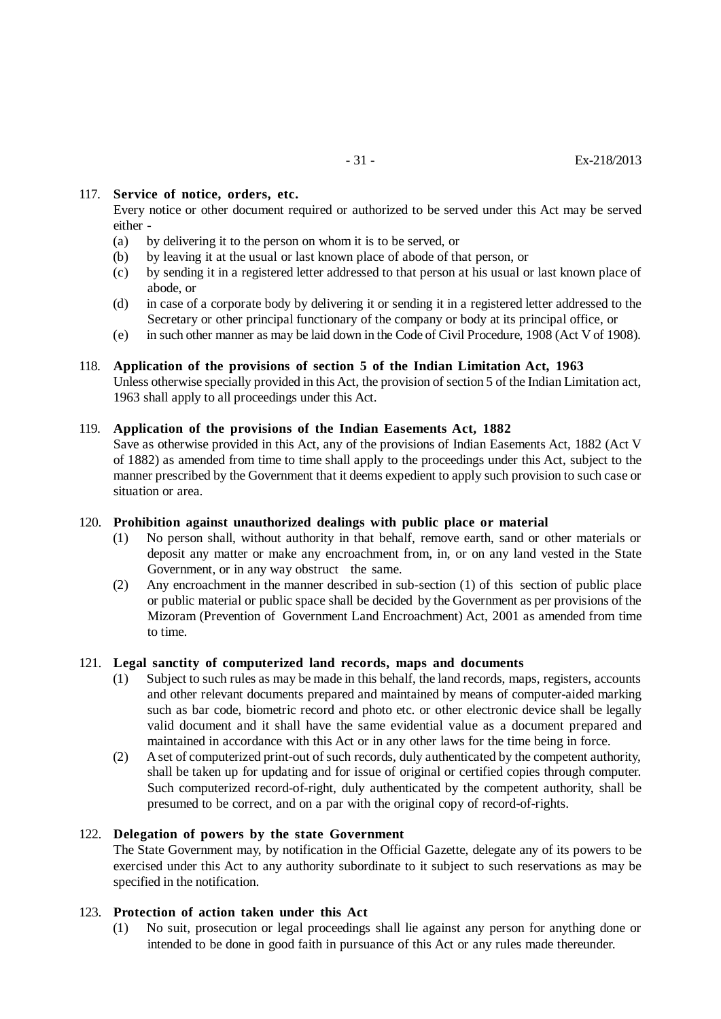## 117. **Service of notice, orders, etc.**

Every notice or other document required or authorized to be served under this Act may be served either -

- (a) by delivering it to the person on whom it is to be served, or
- (b) by leaving it at the usual or last known place of abode of that person, or
- (c) by sending it in a registered letter addressed to that person at his usual or last known place of abode, or
- (d) in case of a corporate body by delivering it or sending it in a registered letter addressed to the Secretary or other principal functionary of the company or body at its principal office, or
- (e) in such other manner as may be laid down in the Code of Civil Procedure, 1908 (Act V of 1908).

## 118. **Application of the provisions of section 5 of the Indian Limitation Act, 1963**

Unless otherwise specially provided in this Act, the provision of section 5 of the Indian Limitation act, 1963 shall apply to all proceedings under this Act.

## 119. **Application of the provisions of the Indian Easements Act, 1882**

Save as otherwise provided in this Act, any of the provisions of Indian Easements Act, 1882 (Act V of 1882) as amended from time to time shall apply to the proceedings under this Act, subject to the manner prescribed by the Government that it deems expedient to apply such provision to such case or situation or area.

## 120. **Prohibition against unauthorized dealings with public place or material**

- (1) No person shall, without authority in that behalf, remove earth, sand or other materials or deposit any matter or make any encroachment from, in, or on any land vested in the State Government, or in any way obstruct the same.
- (2) Any encroachment in the manner described in sub-section (1) of this section of public place or public material or public space shall be decided by the Government as per provisions of the Mizoram (Prevention of Government Land Encroachment) Act, 2001 as amended from time to time.

## 121. **Legal sanctity of computerized land records, maps and documents**

- (1) Subject to such rules as may be made in this behalf, the land records, maps, registers, accounts and other relevant documents prepared and maintained by means of computer-aided marking such as bar code, biometric record and photo etc. or other electronic device shall be legally valid document and it shall have the same evidential value as a document prepared and maintained in accordance with this Act or in any other laws for the time being in force.
- (2) A set of computerized print-out of such records, duly authenticated by the competent authority, shall be taken up for updating and for issue of original or certified copies through computer. Such computerized record-of-right, duly authenticated by the competent authority, shall be presumed to be correct, and on a par with the original copy of record-of-rights.

## 122. **Delegation of powers by the state Government**

The State Government may, by notification in the Official Gazette, delegate any of its powers to be exercised under this Act to any authority subordinate to it subject to such reservations as may be specified in the notification.

## 123. **Protection of action taken under this Act**

(1) No suit, prosecution or legal proceedings shall lie against any person for anything done or intended to be done in good faith in pursuance of this Act or any rules made thereunder.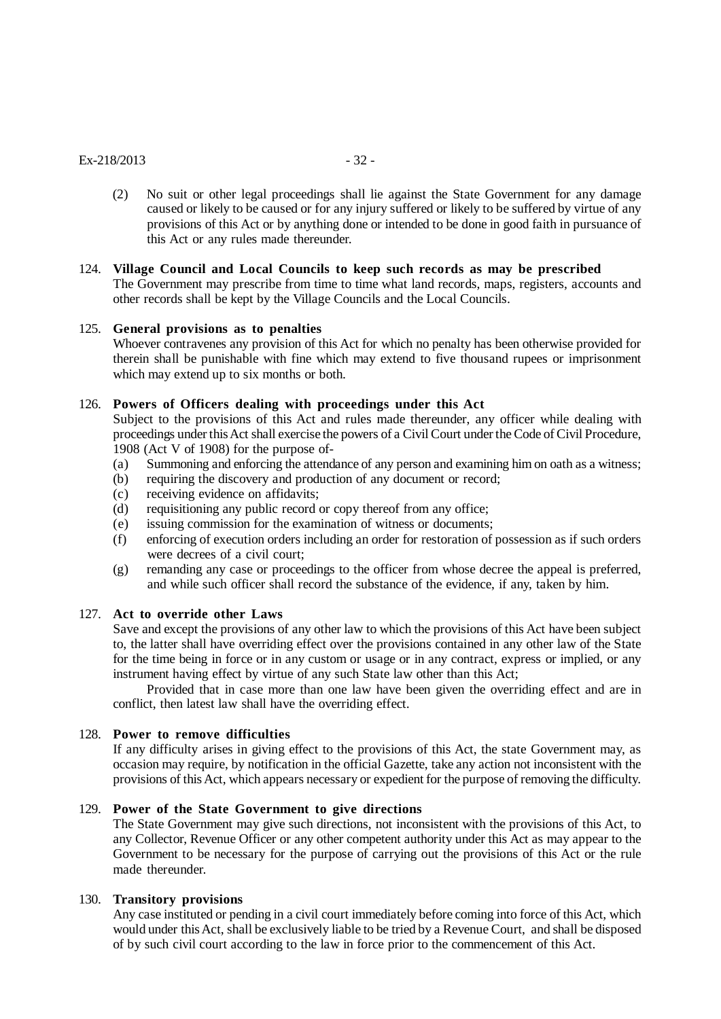#### $Ex-218/2013$  - 32 -

(2) No suit or other legal proceedings shall lie against the State Government for any damage caused or likely to be caused or for any injury suffered or likely to be suffered by virtue of any provisions of this Act or by anything done or intended to be done in good faith in pursuance of this Act or any rules made thereunder.

## 124. **Village Council and Local Councils to keep such records as may be prescribed**

The Government may prescribe from time to time what land records, maps, registers, accounts and other records shall be kept by the Village Councils and the Local Councils.

#### 125. **General provisions as to penalties**

Whoever contravenes any provision of this Act for which no penalty has been otherwise provided for therein shall be punishable with fine which may extend to five thousand rupees or imprisonment which may extend up to six months or both.

## 126. **Powers of Officers dealing with proceedings under this Act**

Subject to the provisions of this Act and rules made thereunder, any officer while dealing with proceedings under this Act shall exercise the powers of a Civil Court under the Code of Civil Procedure, 1908 (Act V of 1908) for the purpose of-

- (a) Summoning and enforcing the attendance of any person and examining him on oath as a witness;
- (b) requiring the discovery and production of any document or record;
- (c) receiving evidence on affidavits;
- (d) requisitioning any public record or copy thereof from any office;
- (e) issuing commission for the examination of witness or documents;
- (f) enforcing of execution orders including an order for restoration of possession as if such orders were decrees of a civil court;
- (g) remanding any case or proceedings to the officer from whose decree the appeal is preferred, and while such officer shall record the substance of the evidence, if any, taken by him.

#### 127. **Act to override other Laws**

Save and except the provisions of any other law to which the provisions of this Act have been subject to, the latter shall have overriding effect over the provisions contained in any other law of the State for the time being in force or in any custom or usage or in any contract, express or implied, or any instrument having effect by virtue of any such State law other than this Act;

Provided that in case more than one law have been given the overriding effect and are in conflict, then latest law shall have the overriding effect.

## 128. **Power to remove difficulties**

If any difficulty arises in giving effect to the provisions of this Act, the state Government may, as occasion may require, by notification in the official Gazette, take any action not inconsistent with the provisions of this Act, which appears necessary or expedient for the purpose of removing the difficulty.

## 129. **Power of the State Government to give directions**

The State Government may give such directions, not inconsistent with the provisions of this Act, to any Collector, Revenue Officer or any other competent authority under this Act as may appear to the Government to be necessary for the purpose of carrying out the provisions of this Act or the rule made thereunder.

#### 130. **Transitory provisions**

Any case instituted or pending in a civil court immediately before coming into force of this Act, which would under this Act, shall be exclusively liable to be tried by a Revenue Court, and shall be disposed of by such civil court according to the law in force prior to the commencement of this Act.